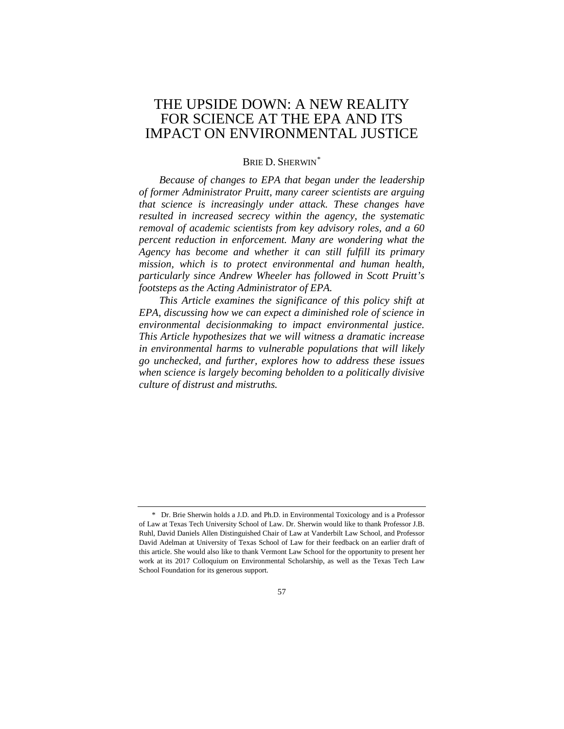# THE UPSIDE DOWN: A NEW REALITY FOR SCIENCE AT THE EPA AND ITS IMPACT ON ENVIRONMENTAL JUSTICE

# BRIE D. SHERWIN[\\*](#page-0-0)

*Because of changes to EPA that began under the leadership of former Administrator Pruitt, many career scientists are arguing that science is increasingly under attack. These changes have resulted in increased secrecy within the agency, the systematic removal of academic scientists from key advisory roles, and a 60 percent reduction in enforcement. Many are wondering what the Agency has become and whether it can still fulfill its primary mission, which is to protect environmental and human health, particularly since Andrew Wheeler has followed in Scott Pruitt's footsteps as the Acting Administrator of EPA.*

*This Article examines the significance of this policy shift at EPA, discussing how we can expect a diminished role of science in environmental decisionmaking to impact environmental justice. This Article hypothesizes that we will witness a dramatic increase in environmental harms to vulnerable populations that will likely go unchecked, and further, explores how to address these issues when science is largely becoming beholden to a politically divisive culture of distrust and mistruths.*

<span id="page-0-0"></span><sup>\*</sup> Dr. Brie Sherwin holds a J.D. and Ph.D. in Environmental Toxicology and is a Professor of Law at Texas Tech University School of Law. Dr. Sherwin would like to thank Professor J.B. Ruhl, David Daniels Allen Distinguished Chair of Law at Vanderbilt Law School, and Professor David Adelman at University of Texas School of Law for their feedback on an earlier draft of this article. She would also like to thank Vermont Law School for the opportunity to present her work at its 2017 Colloquium on Environmental Scholarship, as well as the Texas Tech Law School Foundation for its generous support.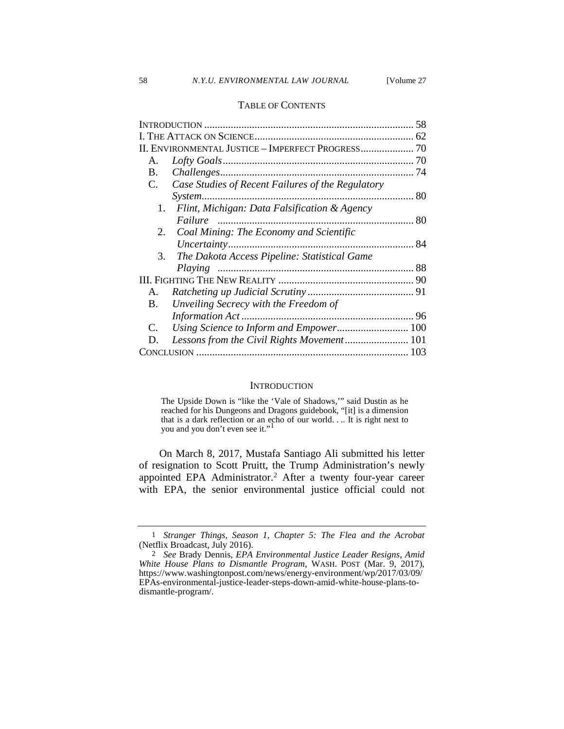#### TABLE OF CONTENTS

|    |                                                   | 58 |
|----|---------------------------------------------------|----|
|    |                                                   | 62 |
|    |                                                   |    |
| Α. |                                                   | 70 |
| B. |                                                   | 74 |
| C. | Case Studies of Recent Failures of the Regulatory |    |
|    |                                                   |    |
| 1. | Flint, Michigan: Data Falsification & Agency      |    |
|    |                                                   | 80 |
| 2. | Coal Mining: The Economy and Scientific           |    |
|    |                                                   |    |
| 3. | The Dakota Access Pipeline: Statistical Game      |    |
|    |                                                   |    |
|    |                                                   |    |
| A. |                                                   |    |
| B. | Unveiling Secrecy with the Freedom of             |    |
|    |                                                   |    |
| C. |                                                   |    |
| D. |                                                   |    |
|    |                                                   |    |
|    |                                                   |    |

#### **INTRODUCTION**

The Upside Down is "like the 'Vale of Shadows,'" said Dustin as he reached for his Dungeons and Dragons guidebook, "[it] is a dimension that is a dark reflection or an echo of our world. . .. It is right next to you and you don't even see it."[1](#page-1-0)

On March 8, 2017, Mustafa Santiago Ali submitted his letter of resignation to Scott Pruitt, the Trump Administration's newly appointed EPA Administrator.<sup>[2](#page-1-1)</sup> After a twenty four-year career with EPA, the senior environmental justice official could not

<span id="page-1-0"></span><sup>1</sup> *Stranger Things*, *Season 1*, *Chapter 5: The Flea and the Acrobat* (Netflix Broadcast, July 2016).

<span id="page-1-1"></span><sup>2</sup> *See* Brady Dennis, *EPA Environmental Justice Leader Resigns, Amid White House Plans to Dismantle Program*, WASH. POST (Mar. 9, 2017), https://www.washingtonpost.com/news/energy-environment/wp/2017/03/09/ EPAs-environmental-justice-leader-steps-down-amid-white-house-plans-todismantle-program/.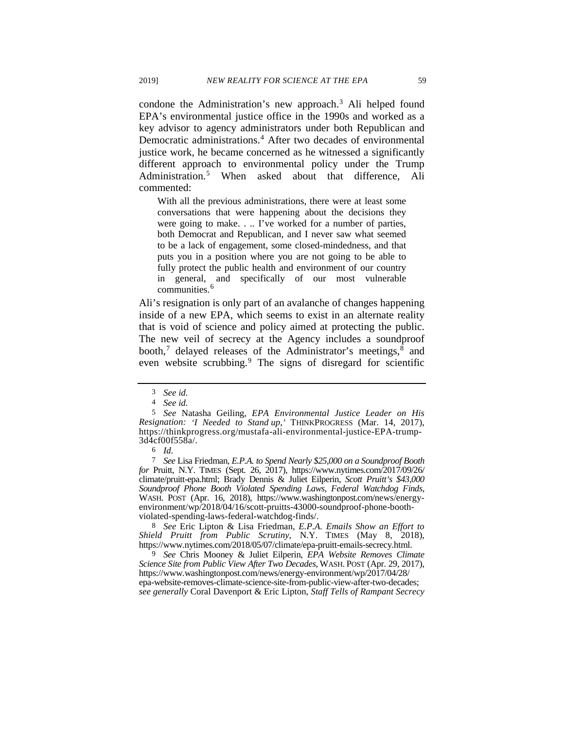condone the Administration's new approach.<sup>[3](#page-2-0)</sup> Ali helped found EPA's environmental justice office in the 1990s and worked as a key advisor to agency administrators under both Republican and Democratic administrations.<sup>[4](#page-2-1)</sup> After two decades of environmental justice work, he became concerned as he witnessed a significantly different approach to environmental policy under the Trump Administration.<sup>[5](#page-2-2)</sup> When asked about that difference, Ali commented:

With all the previous administrations, there were at least some conversations that were happening about the decisions they were going to make. . .. I've worked for a number of parties, both Democrat and Republican, and I never saw what seemed to be a lack of engagement, some closed-mindedness, and that puts you in a position where you are not going to be able to fully protect the public health and environment of our country in general, and specifically of our most vulnerable communities.<sup>[6](#page-2-3)</sup>

Ali's resignation is only part of an avalanche of changes happening inside of a new EPA, which seems to exist in an alternate reality that is void of science and policy aimed at protecting the public. The new veil of secrecy at the Agency includes a soundproof booth,<sup>[7](#page-2-4)</sup> delayed releases of the Administrator's meetings, $\frac{8}{3}$  $\frac{8}{3}$  $\frac{8}{3}$  and even website scrubbing.<sup>[9](#page-2-6)</sup> The signs of disregard for scientific

<span id="page-2-5"></span>8 *See* Eric Lipton & Lisa Friedman, *E.P.A. Emails Show an Effort to*  Shield Pruitt from Public Scrutiny, N.Y. TIMES (May 8, 2018), https://www.nytimes.com/2018/05/07/climate/epa-pruitt-emails-secrecy.html.

<span id="page-2-6"></span>9 *See* Chris Mooney & Juliet Eilperin, *EPA Website Removes Climate Science Site from Public View After Two Decades*, WASH. POST (Apr. 29, 2017), https://www.washingtonpost.com/news/energy-environment/wp/2017/04/28/ epa-website-removes-climate-science-site-from-public-view-after-two-decades; *see generally* Coral Davenport & Eric Lipton, *Staff Tells of Rampant Secrecy* 

<sup>3</sup> *See id.*

<sup>4</sup> *See id.*

<span id="page-2-2"></span><span id="page-2-1"></span><span id="page-2-0"></span><sup>5</sup> *See* Natasha Geiling, *EPA Environmental Justice Leader on His Resignation: 'I Needed to Stand up*,*'* THINKPROGRESS (Mar. 14, 2017), https://thinkprogress.org/mustafa-ali-environmental-justice-EPA-trump- 3d4cf00f558a/.

<sup>6</sup> *Id.*

<span id="page-2-4"></span><span id="page-2-3"></span><sup>7</sup> *See* Lisa Friedman, *E.P.A. to Spend Nearly \$25,000 on a Soundproof Booth for* Pruitt, N.Y. TIMES (Sept. 26, 2017), https://www.nytimes.com/2017/09/26/ climate/pruitt-epa.html; Brady Dennis & Juliet Eilperin, *Scott Pruitt's \$43,000 Soundproof Phone Booth Violated Spending Laws, Federal Watchdog Finds*, WASH. POST (Apr. 16, 2018), https://www.washingtonpost.com/news/energyenvironment/wp/2018/04/16/scott-pruitts-43000-soundproof-phone-booth- violated-spending-laws-federal-watchdog-finds/.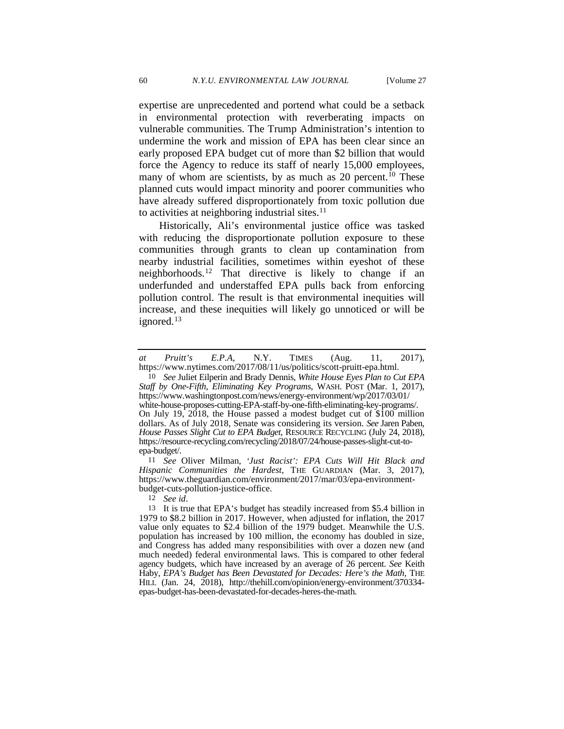expertise are unprecedented and portend what could be a setback in environmental protection with reverberating impacts on vulnerable communities. The Trump Administration's intention to undermine the work and mission of EPA has been clear since an early proposed EPA budget cut of more than \$2 billion that would force the Agency to reduce its staff of nearly 15,000 employees, many of whom are scientists, by as much as 20 percent.<sup>[10](#page-3-0)</sup> These planned cuts would impact minority and poorer communities who have already suffered disproportionately from toxic pollution due to activities at neighboring industrial sites. $11$ 

Historically, Ali's environmental justice office was tasked with reducing the disproportionate pollution exposure to these communities through grants to clean up contamination from nearby industrial facilities, sometimes within eyeshot of these neighborhoods.<sup>[12](#page-3-2)</sup> That directive is likely to change if an underfunded and understaffed EPA pulls back from enforcing pollution control. The result is that environmental inequities will increase, and these inequities will likely go unnoticed or will be ignored.<sup>[13](#page-3-3)</sup>

<span id="page-3-1"></span>11 *See* Oliver Milman, *'Just Racist': EPA Cuts Will Hit Black and Hispanic Communities the Hardest*, THE GUARDIAN (Mar. 3, 2017), https://www.theguardian.com/environment/2017/mar/03/epa-environmentbudget-cuts-pollution-justice-office.

12 *See id*.

*at Pruitt's E.P.A*, N.Y. TIMES (Aug. 11, 2017), https://www.nytimes.com/2017/08/11/us/politics/scott-pruitt-epa.html.

<span id="page-3-0"></span><sup>10</sup> *See* Juliet Eilperin and Brady Dennis, *White House Eyes Plan to Cut EPA Staff by One-Fifth, Eliminating Key Programs*, WASH. POST (Mar. 1, 2017), https://www.washingtonpost.com/news/energy-environment/wp/2017/03/01/ white-house-proposes-cutting-EPA-staff-by-one-fifth-eliminating-key-programs/. On July 19, 2018, the House passed a modest budget cut of \$100 million dollars. As of July 2018, Senate was considering its version. *See* Jaren Paben, *House Passes Slight Cut to EPA Budget*, RESOURCE RECYCLING (July 24, 2018), https://resource-recycling.com/recycling/2018/07/24/house-passes-slight-cut-toepa-budget/.

<span id="page-3-3"></span><span id="page-3-2"></span><sup>13</sup> It is true that EPA's budget has steadily increased from \$5.4 billion in 1979 to \$8.2 billion in 2017. However, when adjusted for inflation, the 2017 value only equates to \$2.4 billion of the 1979 budget. Meanwhile the U.S. population has increased by 100 million, the economy has doubled in size, and Congress has added many responsibilities with over a dozen new (and much needed) federal environmental laws. This is compared to other federal agency budgets, which have increased by an average of 26 percent. *See* Keith Haby, *EPA's Budget has Been Devastated for Decades: Here's the Math*, THE HILL (Jan. 24, 2018), http://thehill.com/opinion/energy-environment/370334 epas-budget-has-been-devastated-for-decades-heres-the-math.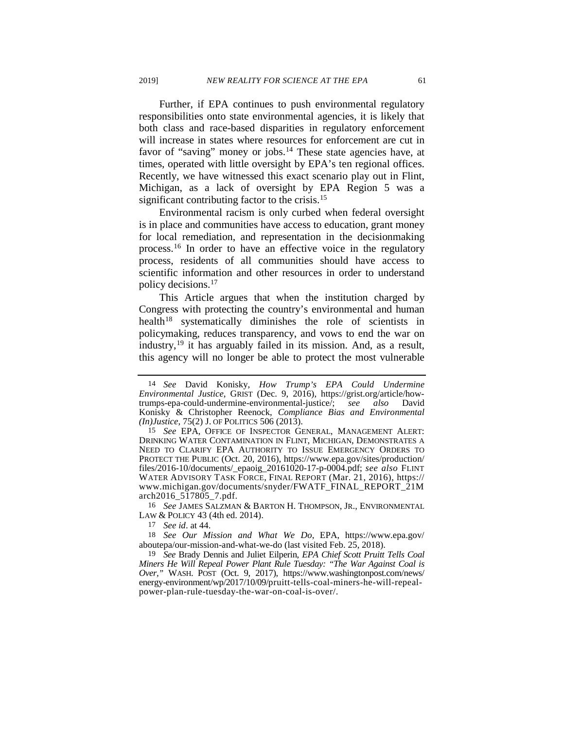Further, if EPA continues to push environmental regulatory responsibilities onto state environmental agencies, it is likely that both class and race-based disparities in regulatory enforcement will increase in states where resources for enforcement are cut in favor of "saving" money or jobs.<sup>14</sup> These state agencies have, at times, operated with little oversight by EPA's ten regional offices. Recently, we have witnessed this exact scenario play out in Flint, Michigan, as a lack of oversight by EPA Region 5 was a significant contributing factor to the crisis.<sup>[15](#page-4-1)</sup>

<span id="page-4-7"></span><span id="page-4-6"></span>Environmental racism is only curbed when federal oversight is in place and communities have access to education, grant money for local remediation, and representation in the decisionmaking process.[16](#page-4-2) In order to have an effective voice in the regulatory process, residents of all communities should have access to scientific information and other resources in order to understand policy decisions.[17](#page-4-3)

This Article argues that when the institution charged by Congress with protecting the country's environmental and human health<sup>[18](#page-4-4)</sup> systematically diminishes the role of scientists in policymaking, reduces transparency, and vows to end the war on industry,  $19$  it has arguably failed in its mission. And, as a result, this agency will no longer be able to protect the most vulnerable

<span id="page-4-2"></span>16 *See* JAMES SALZMAN & BARTON H. THOMPSON, JR., ENVIRONMENTAL LAW & POLICY 43 (4th ed. 2014).

17 *See id*. at 44.

<span id="page-4-4"></span><span id="page-4-3"></span>18 *See Our Mission and What We Do*, EPA, https://www.epa.gov/ aboutepa/our-mission-and-what-we-do (last visited Feb. 25, 2018).

<span id="page-4-5"></span>19 *See* Brady Dennis and Juliet Eilperin, *EPA Chief Scott Pruitt Tells Coal Miners He Will Repeal Power Plant Rule Tuesday: "The War Against Coal is Over,"* WASH. POST (Oct. 9, 2017), https://www.washingtonpost.com/news/ energy-environment/wp/2017/10/09/pruitt-tells-coal-miners-he-will-repealpower-plan-rule-tuesday-the-war-on-coal-is-over/.

<span id="page-4-0"></span><sup>14</sup> *See* David Konisky, *How Trump's EPA Could Undermine Environmental Justice*, GRIST (Dec. 9, 2016), https://grist.org/article/how- trumps-epa-could-undermine-environmental-justice/; *see also* David Konisky & Christopher Reenock, *Compliance Bias and Environmental (In)Justice*, 75(2) J. OF POLITICS 506 (2013).

<span id="page-4-1"></span><sup>15</sup> *See* EPA, OFFICE OF INSPECTOR GENERAL, MANAGEMENT ALERT: DRINKING WATER CONTAMINATION IN FLINT, MICHIGAN, DEMONSTRATES A NEED TO CLARIFY EPA AUTHORITY TO ISSUE EMERGENCY ORDERS TO PROTECT THE PUBLIC (Oct. 20, 2016), https://www.epa.gov/sites/production/ files/2016-10/documents/\_epaoig\_20161020-17-p-0004.pdf; *see also* FLINT WATER ADVISORY TASK FORCE, FINAL REPORT (Mar. 21, 2016), https:// www.michigan.gov/documents/snyder/FWATF\_FINAL\_REPORT\_21M arch2016\_517805\_7.pdf.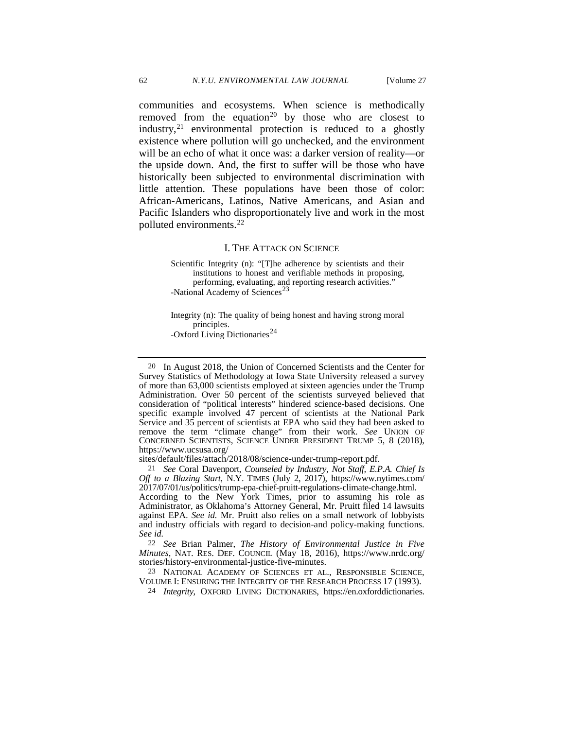<span id="page-5-6"></span><span id="page-5-5"></span>communities and ecosystems. When science is methodically removed from the equation<sup>[20](#page-5-0)</sup> by those who are closest to industry,<sup>[21](#page-5-1)</sup> environmental protection is reduced to a ghostly existence where pollution will go unchecked, and the environment will be an echo of what it once was: a darker version of reality—or the upside down. And, the first to suffer will be those who have historically been subjected to environmental discrimination with little attention. These populations have been those of color: African-Americans, Latinos, Native Americans, and Asian and Pacific Islanders who disproportionately live and work in the most polluted environments.<sup>[22](#page-5-2)</sup>

#### I. THE ATTACK ON SCIENCE

Scientific Integrity (n): "[T]he adherence by scientists and their institutions to honest and verifiable methods in proposing, performing, evaluating, and reporting research activities." -National Academy of Sciences<sup>[23](#page-5-3)</sup>

Integrity (n): The quality of being honest and having strong moral principles. -Oxford Living Dictionaries<sup>[24](#page-5-4)</sup>

<span id="page-5-0"></span>20 In August 2018, the Union of Concerned Scientists and the Center for Survey Statistics of Methodology at Iowa State University released a survey of more than 63,000 scientists employed at sixteen agencies under the Trump Administration. Over 50 percent of the scientists surveyed believed that consideration of "political interests" hindered science-based decisions. One specific example involved 47 percent of scientists at the National Park Service and 35 percent of scientists at EPA who said they had been asked to remove the term "climate change" from their work. *See* UNION OF CONCERNED SCIENTISTS, SCIENCE UNDER PRESIDENT TRUMP 5, 8 (2018), https://www.ucsusa.org/

sites/default/files/attach/2018/08/science-under-trump-report.pdf.

<span id="page-5-1"></span>21 *See* Coral Davenport, *Counseled by Industry, Not Staff, E.P.A. Chief Is Off to a Blazing Start*, N.Y. TIMES (July 2, 2017), https://www.nytimes.com/ 2017/07/01/us/politics/trump-epa-chief-pruitt-regulations-climate-change.html. According to the New York Times, prior to assuming his role as

Administrator, as Oklahoma's Attorney General, Mr. Pruitt filed 14 lawsuits against EPA. *See id.* Mr. Pruitt also relies on a small network of lobbyists and industry officials with regard to decision-and policy-making functions. *See id.*

<span id="page-5-2"></span>22 *See* Brian Palmer, *The History of Environmental Justice in Five Minutes*, NAT. RES. DEF. COUNCIL (May 18, 2016), https://www.nrdc.org/ stories/history-environmental-justice-five-minutes.

<span id="page-5-4"></span><span id="page-5-3"></span>23 NATIONAL ACADEMY OF SCIENCES ET AL., RESPONSIBLE SCIENCE, VOLUME I: ENSURING THE INTEGRITY OF THE RESEARCH PROCESS 17 (1993).

24 *Integrity*, OXFORD LIVING DICTIONARIES, https://en.oxforddictionaries.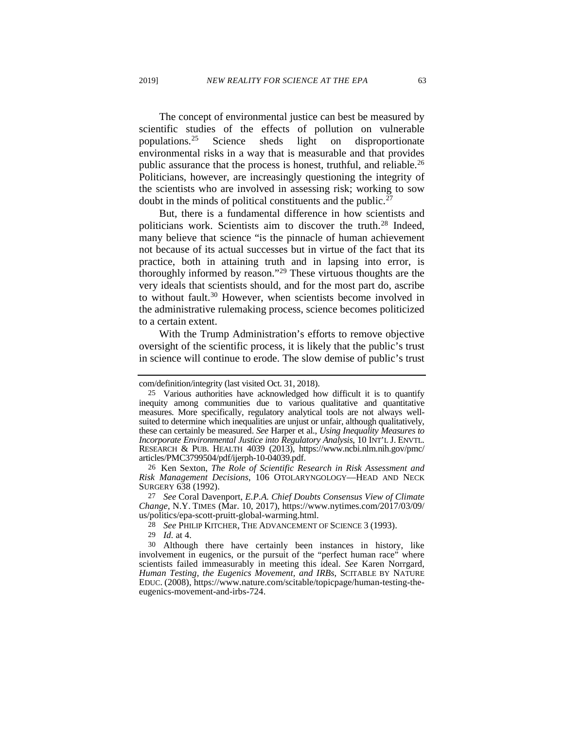The concept of environmental justice can best be measured by scientific studies of the effects of pollution on vulnerable populations.[25](#page-6-0) Science sheds light on disproportionate environmental risks in a way that is measurable and that provides public assurance that the process is honest, truthful, and reliable.<sup>[26](#page-6-1)</sup> Politicians, however, are increasingly questioning the integrity of the scientists who are involved in assessing risk; working to sow doubt in the minds of political constituents and the public. $27$ 

But, there is a fundamental difference in how scientists and politicians work. Scientists aim to discover the truth.<sup>[28](#page-6-3)</sup> Indeed, many believe that science "is the pinnacle of human achievement not because of its actual successes but in virtue of the fact that its practice, both in attaining truth and in lapsing into error, is thoroughly informed by reason."[29](#page-6-4) These virtuous thoughts are the very ideals that scientists should, and for the most part do, ascribe to without fault.<sup>[30](#page-6-5)</sup> However, when scientists become involved in the administrative rulemaking process, science becomes politicized to a certain extent.

With the Trump Administration's efforts to remove objective oversight of the scientific process, it is likely that the public's trust in science will continue to erode. The slow demise of public's trust

29 *Id.* at 4.

<span id="page-6-0"></span>com/definition/integrity (last visited Oct. 31, 2018).

<sup>25</sup> Various authorities have acknowledged how difficult it is to quantify inequity among communities due to various qualitative and quantitative measures. More specifically, regulatory analytical tools are not always wellsuited to determine which inequalities are unjust or unfair, although qualitatively, these can certainly be measured. *See* Harper et al., *Using Inequality Measures to*  RESEARCH & PUB. HEALTH 4039 (2013), https://www.ncbi.nlm.nih.gov/pmc/ articles/PMC3799504/pdf/ijerph-10-04039.pdf.

<span id="page-6-1"></span><sup>26</sup> Ken Sexton, *The Role of Scientific Research in Risk Assessment and Risk Management Decisions*, 106 OTOLARYNGOLOGY—HEAD AND NECK SURGERY 638 (1992).

<span id="page-6-2"></span><sup>27</sup> *See* Coral Davenport, *E.P.A. Chief Doubts Consensus View of Climate Change*, N.Y. TIMES (Mar. 10, 2017), https://www.nytimes.com/2017/03/09/ us/politics/epa-scott-pruitt-global-warming.html.

<sup>28</sup> *See* PHILIP KITCHER, THE ADVANCEMENT OF SCIENCE 3 (1993).

<span id="page-6-5"></span><span id="page-6-4"></span><span id="page-6-3"></span><sup>30</sup> Although there have certainly been instances in history, like involvement in eugenics, or the pursuit of the "perfect human race" where scientists failed immeasurably in meeting this ideal. *See* Karen Norrgard*, Human Testing, the Eugenics Movement, and IRBs*, SCITABLE BY NATURE EDUC. (2008), https://www.nature.com/scitable/topicpage/human-testing-theeugenics-movement-and-irbs-724.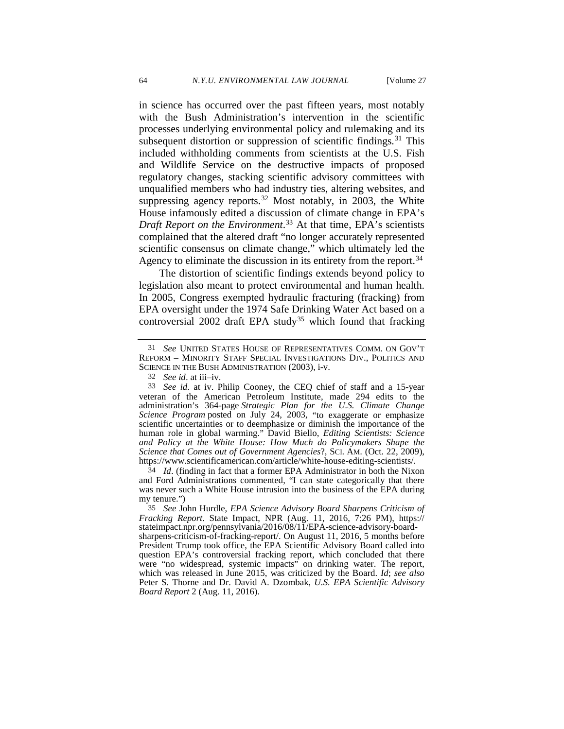<span id="page-7-5"></span>

in science has occurred over the past fifteen years, most notably with the Bush Administration's intervention in the scientific processes underlying environmental policy and rulemaking and its subsequent distortion or suppression of scientific findings.<sup>[31](#page-7-0)</sup> This included withholding comments from scientists at the U.S. Fish and Wildlife Service on the destructive impacts of proposed regulatory changes, stacking scientific advisory committees with unqualified members who had industry ties, altering websites, and suppressing agency reports.<sup>[32](#page-7-1)</sup> Most notably, in 2003, the White House infamously edited a discussion of climate change in EPA's *Draft Report on the Environment*. [33](#page-7-2) At that time, EPA's scientists complained that the altered draft "no longer accurately represented scientific consensus on climate change," which ultimately led the Agency to eliminate the discussion in its entirety from the report.<sup>[34](#page-7-3)</sup>

The distortion of scientific findings extends beyond policy to legislation also meant to protect environmental and human health. In 2005, Congress exempted hydraulic fracturing (fracking) from EPA oversight under the 1974 Safe Drinking Water Act based on a controversial 2002 draft EPA study<sup>[35](#page-7-4)</sup> which found that fracking

<span id="page-7-3"></span>34 *Id*. (finding in fact that a former EPA Administrator in both the Nixon and Ford Administrations commented, "I can state categorically that there was never such a White House intrusion into the business of the EPA during my tenure.")

<span id="page-7-0"></span><sup>31</sup> *See* UNITED STATES HOUSE OF REPRESENTATIVES COMM. ON GOV'T REFORM – MINORITY STAFF SPECIAL INVESTIGATIONS DIV., POLITICS AND SCIENCE IN THE BUSH ADMINISTRATION (2003), i-v.

<sup>32</sup> *See id*. at iii–iv.

<span id="page-7-2"></span><span id="page-7-1"></span><sup>33</sup> *See id*. at iv. Philip Cooney, the CEQ chief of staff and a 15-year veteran of the American Petroleum Institute, made 294 edits to the administration's 364-page *Strategic Plan for the U.S. Climate Change Science Program* posted on July 24, 2003, "to exaggerate or emphasize scientific uncertainties or to deemphasize or diminish the importance of the human role in global warming." David Biello, *Editing Scientists: Science and Policy at the White House: How Much do Policymakers Shape the Science that Comes out of Government Agencies*?, SCI. AM. (Oct. 22, 2009), https://www.scientificamerican.com/article/white-house-editing-scientists/.

<span id="page-7-4"></span><sup>35</sup> *See* John Hurdle, *EPA Science Advisory Board Sharpens Criticism of Fracking Report*. State Impact, NPR (Aug. 11, 2016, 7:26 PM), https:// stateimpact.npr.org/pennsylvania/2016/08/11/EPA-science-advisory-boardsharpens-criticism-of-fracking-report/. On August 11, 2016, 5 months before President Trump took office, the EPA Scientific Advisory Board called into question EPA's controversial fracking report, which concluded that there were "no widespread, systemic impacts" on drinking water. The report, which was released in June 2015, was criticized by the Board. *Id*; *see also* Peter S. Thorne and Dr. David A. Dzombak, *U.S. EPA Scientific Advisory Board Report* 2 (Aug. 11, 2016).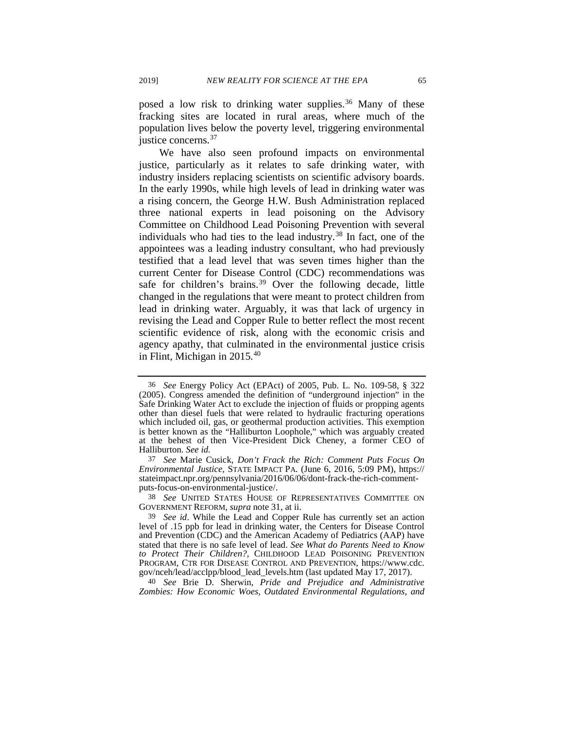posed a low risk to drinking water supplies.<sup>[36](#page-8-0)</sup> Many of these fracking sites are located in rural areas, where much of the population lives below the poverty level, triggering environmental justice concerns.<sup>[37](#page-8-1)</sup>

We have also seen profound impacts on environmental justice, particularly as it relates to safe drinking water, with industry insiders replacing scientists on scientific advisory boards. In the early 1990s, while high levels of lead in drinking water was a rising concern, the George H.W. Bush Administration replaced three national experts in lead poisoning on the Advisory Committee on Childhood Lead Poisoning Prevention with several individuals who had ties to the lead industry. $38$  In fact, one of the appointees was a leading industry consultant, who had previously testified that a lead level that was seven times higher than the current Center for Disease Control (CDC) recommendations was safe for children's brains.<sup>[39](#page-8-3)</sup> Over the following decade, little changed in the regulations that were meant to protect children from lead in drinking water. Arguably, it was that lack of urgency in revising the Lead and Copper Rule to better reflect the most recent scientific evidence of risk, along with the economic crisis and agency apathy, that culminated in the environmental justice crisis in Flint, Michigan in 2015.[40](#page-8-4)

<span id="page-8-0"></span><sup>36</sup> *See* Energy Policy Act (EPAct) of 2005, Pub. L. No. 109-58, § 322 (2005). Congress amended the definition of "underground injection" in the Safe Drinking Water Act to exclude the injection of fluids or propping agents other than diesel fuels that were related to hydraulic fracturing operations which included oil, gas, or geothermal production activities. This exemption is better known as the "Halliburton Loophole," which was arguably created at the behest of then Vice-President Dick Cheney, a former CEO of Halliburton. *See id.*

<span id="page-8-1"></span><sup>37</sup> *See* Marie Cusick, *Don't Frack the Rich: Comment Puts Focus On Environmental Justice*, STATE IMPACT PA. (June 6, 2016, 5:09 PM), https:// stateimpact.npr.org/pennsylvania/2016/06/06/dont-frack-the-rich-comment- puts-focus-on-environmental-justice/.

<span id="page-8-2"></span><sup>38</sup> *See* UNITED STATES HOUSE OF REPRESENTATIVES COMMITTEE ON GOVERNMENT REFORM, *supra* not[e 31,](#page-7-5) at ii.

<span id="page-8-3"></span><sup>39</sup> *See id*. While the Lead and Copper Rule has currently set an action level of .15 ppb for lead in drinking water, the Centers for Disease Control and Prevention (CDC) and the American Academy of Pediatrics (AAP) have stated that there is no safe level of lead. *See What do Parents Need to Know to Protect Their Children?,* CHILDHOOD LEAD POISONING PREVENTION PROGRAM, CTR FOR DISEASE CONTROL AND PREVENTION, https://www.cdc. gov/nceh/lead/acclpp/blood\_lead\_levels.htm (last updated May 17, 2017).

<span id="page-8-4"></span><sup>40</sup> *See* Brie D. Sherwin, *Pride and Prejudice and Administrative Zombies: How Economic Woes, Outdated Environmental Regulations, and*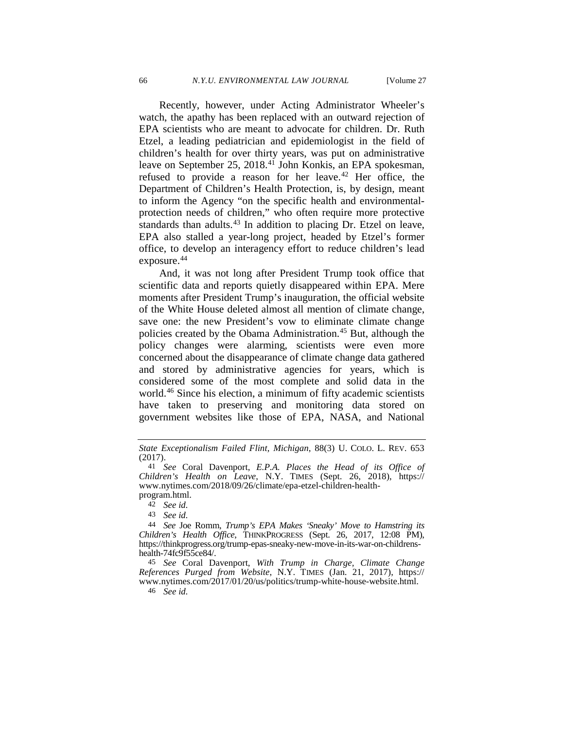Recently, however, under Acting Administrator Wheeler's watch, the apathy has been replaced with an outward rejection of EPA scientists who are meant to advocate for children. Dr. Ruth Etzel, a leading pediatrician and epidemiologist in the field of children's health for over thirty years, was put on administrative leave on September 25, 2018.<sup>[41](#page-9-0)</sup> John Konkis, an EPA spokesman, refused to provide a reason for her leave.<sup>[42](#page-9-1)</sup> Her office, the Department of Children's Health Protection, is, by design, meant to inform the Agency "on the specific health and environmentalprotection needs of children," who often require more protective standards than adults.<sup>[43](#page-9-2)</sup> In addition to placing Dr. Etzel on leave, EPA also stalled a year-long project, headed by Etzel's former office, to develop an interagency effort to reduce children's lead exposure.<sup>[44](#page-9-3)</sup>

<span id="page-9-6"></span>And, it was not long after President Trump took office that scientific data and reports quietly disappeared within EPA. Mere moments after President Trump's inauguration, the official website of the White House deleted almost all mention of climate change, save one: the new President's vow to eliminate climate change policies created by the Obama Administration.<sup>[45](#page-9-4)</sup> But, although the policy changes were alarming, scientists were even more concerned about the disappearance of climate change data gathered and stored by administrative agencies for years, which is considered some of the most complete and solid data in the world.[46](#page-9-5) Since his election, a minimum of fifty academic scientists have taken to preserving and monitoring data stored on government websites like those of EPA, NASA, and National

<span id="page-9-5"></span>45 *See* Coral Davenport, *With Trump in Charge, Climate Change References Purged from Website*, N.Y. TIMES (Jan. 21, 2017), https:// www.nytimes.com/2017/01/20/us/politics/trump-white-house-website.html.

46 *See id.*

*State Exceptionalism Failed Flint, Michigan*, 88(3) U. COLO. L. REV. 653 (2017).

<span id="page-9-0"></span><sup>41</sup> *See* Coral Davenport, *E.P.A. Places the Head of its Office of Children's Health on Leave*, N.Y. TIMES (Sept. 26, 2018), https:// www.nytimes.com/2018/09/26/climate/epa-etzel-children-healthprogram.html.

<sup>42</sup> *See id.* 

<sup>43</sup> *See id.*

<span id="page-9-4"></span><span id="page-9-3"></span><span id="page-9-2"></span><span id="page-9-1"></span><sup>44</sup> *See* Joe Romm, *Trump's EPA Makes 'Sneaky' Move to Hamstring its Children's Health Office*, THINKPROGRESS (Sept. 26, 2017, 12:08 PM), https://thinkprogress.org/trump-epas-sneaky-new-move-in-its-war-on-childrenshealth-74fc9f55ce84/.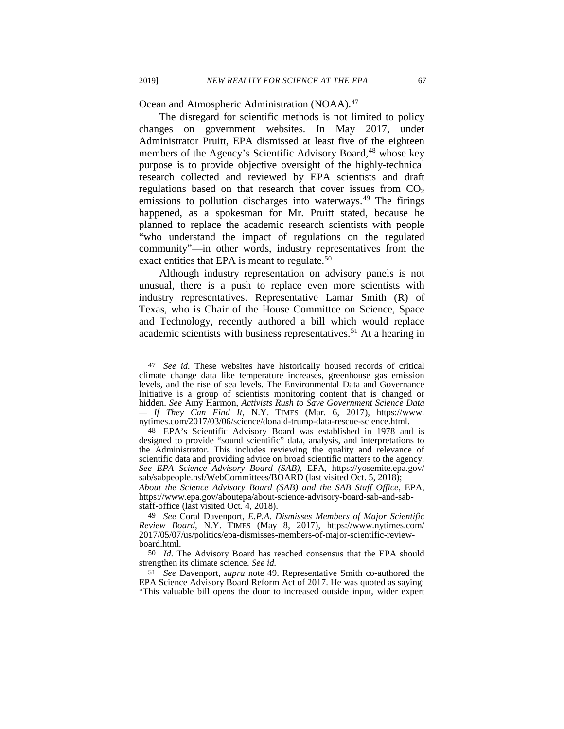Ocean and Atmospheric Administration (NOAA).[47](#page-10-1)

The disregard for scientific methods is not limited to policy changes on government websites. In May 2017, under Administrator Pruitt, EPA dismissed at least five of the eighteen members of the Agency's Scientific Advisory Board,<sup>[48](#page-10-2)</sup> whose key purpose is to provide objective oversight of the highly-technical research collected and reviewed by EPA scientists and draft regulations based on that research that cover issues from  $CO<sub>2</sub>$ emissions to pollution discharges into waterways.<sup>[49](#page-10-3)</sup> The firings happened, as a spokesman for Mr. Pruitt stated, because he planned to replace the academic research scientists with people "who understand the impact of regulations on the regulated community"—in other words, industry representatives from the exact entities that EPA is meant to regulate.<sup>[50](#page-10-4)</sup>

<span id="page-10-0"></span>Although industry representation on advisory panels is not unusual, there is a push to replace even more scientists with industry representatives. Representative Lamar Smith (R) of Texas, who is Chair of the House Committee on Science, Space and Technology, recently authored a bill which would replace academic scientists with business representatives.<sup>[51](#page-10-5)</sup> At a hearing in

staff-office (last visited Oct. 4, 2018).

<span id="page-10-1"></span><sup>47</sup> *See id.* These websites have historically housed records of critical climate change data like temperature increases, greenhouse gas emission levels, and the rise of sea levels. The Environmental Data and Governance Initiative is a group of scientists monitoring content that is changed or hidden. *See* Amy Harmon, *Activists Rush to Save Government Science Data — If They Can Find It*, N.Y. TIMES (Mar. 6, 2017), https://www. nytimes.com/2017/03/06/science/donald-trump-data-rescue-science.html.

<span id="page-10-2"></span><sup>48</sup> EPA's Scientific Advisory Board was established in 1978 and is designed to provide "sound scientific" data, analysis, and interpretations to the Administrator. This includes reviewing the quality and relevance of scientific data and providing advice on broad scientific matters to the agency. *See EPA Science Advisory Board (SAB)*, EPA, https://yosemite.epa.gov/ sab/sabpeople.nsf/WebCommittees/BOARD (last visited Oct. 5, 2018); *About the Science Advisory Board (SAB) and the SAB Staff Office*, EPA, https://www.epa.gov/aboutepa/about-science-advisory-board-sab-and-sab-

<span id="page-10-3"></span><sup>49</sup> *See* Coral Davenport, *E.P.A. Dismisses Members of Major Scientific Review Board*, N.Y. TIMES (May 8, 2017), https://www.nytimes.com/ 2017/05/07/us/politics/epa-dismisses-members-of-major-scientific-review- board.html.

<span id="page-10-4"></span><sup>50</sup> *Id.* The Advisory Board has reached consensus that the EPA should strengthen its climate science. *See id.*

<span id="page-10-5"></span><sup>51</sup> *See* Davenport*, supra* note [49.](#page-10-0) Representative Smith co-authored the EPA Science Advisory Board Reform Act of 2017. He was quoted as saying: "This valuable bill opens the door to increased outside input, wider expert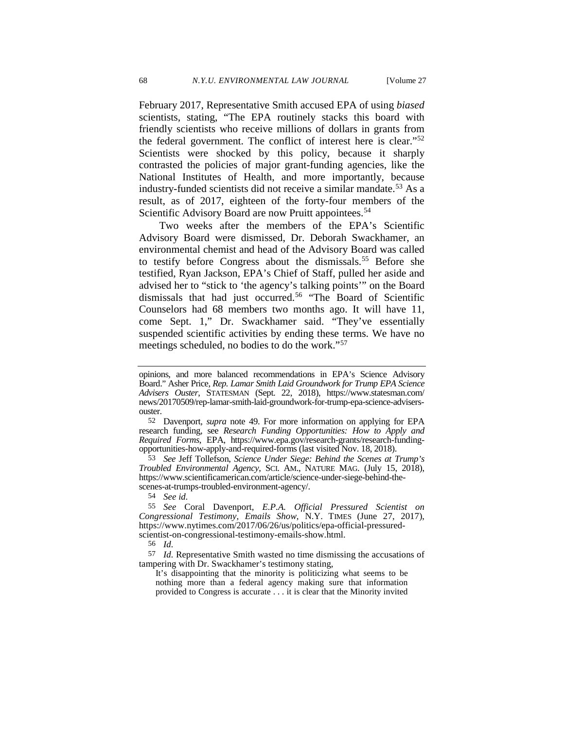February 2017, Representative Smith accused EPA of using *biased* scientists, stating, "The EPA routinely stacks this board with friendly scientists who receive millions of dollars in grants from the federal government. The conflict of interest here is clear."[52](#page-11-0) Scientists were shocked by this policy, because it sharply contrasted the policies of major grant-funding agencies, like the National Institutes of Health, and more importantly, because industry-funded scientists did not receive a similar mandate.[53](#page-11-1) As a result, as of 2017, eighteen of the forty-four members of the Scientific Advisory Board are now Pruitt appointees.<sup>[54](#page-11-2)</sup>

Two weeks after the members of the EPA's Scientific Advisory Board were dismissed, Dr. Deborah Swackhamer, an environmental chemist and head of the Advisory Board was called to testify before Congress about the dismissals.<sup>[55](#page-11-3)</sup> Before she testified, Ryan Jackson, EPA's Chief of Staff, pulled her aside and advised her to "stick to 'the agency's talking points'" on the Board dismissals that had just occurred.<sup>[56](#page-11-4)</sup> "The Board of Scientific Counselors had 68 members two months ago. It will have 11, come Sept. 1," Dr. Swackhamer said. "They've essentially suspended scientific activities by ending these terms. We have no meetings scheduled, no bodies to do the work."[57](#page-11-5)

<span id="page-11-1"></span>53 *See* Jeff Tollefson, *Science Under Siege: Behind the Scenes at Trump's Troubled Environmental Agency*, SCI. AM., NATURE MAG. (July 15, 2018), https://www.scientificamerican.com/article/science-under-siege-behind-thescenes-at-trumps-troubled-environment-agency/.

54 *See id.* 

<span id="page-11-3"></span><span id="page-11-2"></span>55 *See* Coral Davenport, *E.P.A. Official Pressured Scientist on Congressional Testimony, Emails Show*, N.Y. TIMES (June 27, 2017), https://www.nytimes.com/2017/06/26/us/politics/epa-official-pressuredscientist-on-congressional-testimony-emails-show.html.

56 *Id.*

<span id="page-11-5"></span><span id="page-11-4"></span>57 *Id.* Representative Smith wasted no time dismissing the accusations of tampering with Dr. Swackhamer's testimony stating,

It's disappointing that the minority is politicizing what seems to be nothing more than a federal agency making sure that information provided to Congress is accurate . . . it is clear that the Minority invited

opinions, and more balanced recommendations in EPA's Science Advisory Board." Asher Price, *Rep. Lamar Smith Laid Groundwork for Trump EPA Science Advisers Ouster*, STATESMAN (Sept. 22, 2018), https://www.statesman.com/ news/20170509/rep-lamar-smith-laid-groundwork-for-trump-epa-science-advisersouster.

<span id="page-11-0"></span><sup>52</sup> Davenport*, supra* note [49.](#page-10-0) For more information on applying for EPA research funding, see *Research Funding Opportunities: How to Apply and Required Forms*, EPA, https://www.epa.gov/research-grants/research-funding- opportunities-how-apply-and-required-forms (last visited Nov. 18, 2018).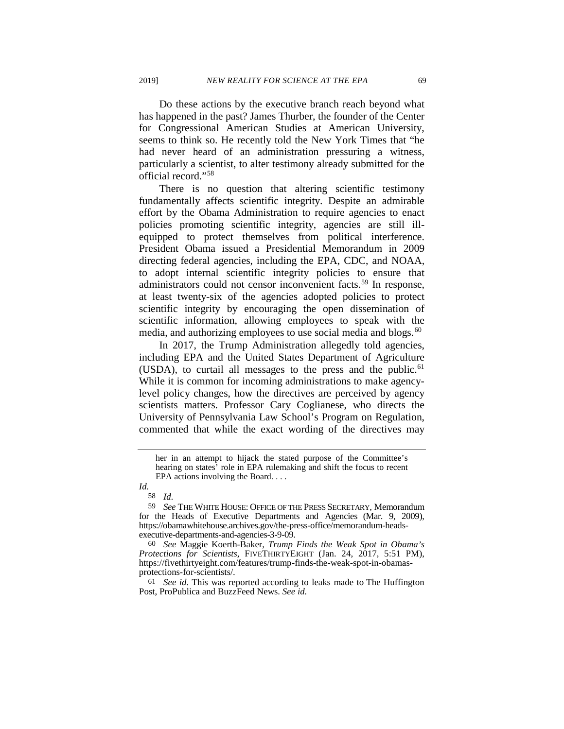Do these actions by the executive branch reach beyond what has happened in the past? James Thurber, the founder of the Center for Congressional American Studies at American University, seems to think so. He recently told the New York Times that "he had never heard of an administration pressuring a witness, particularly a scientist, to alter testimony already submitted for the official record."[58](#page-12-0)

There is no question that altering scientific testimony fundamentally affects scientific integrity. Despite an admirable effort by the Obama Administration to require agencies to enact policies promoting scientific integrity, agencies are still illequipped to protect themselves from political interference. President Obama issued a Presidential Memorandum in 2009 directing federal agencies, including the EPA, CDC, and NOAA, to adopt internal scientific integrity policies to ensure that administrators could not censor inconvenient facts.<sup>[59](#page-12-1)</sup> In response, at least twenty-six of the agencies adopted policies to protect scientific integrity by encouraging the open dissemination of scientific information, allowing employees to speak with the media, and authorizing employees to use social media and blogs.<sup>[60](#page-12-2)</sup>

In 2017, the Trump Administration allegedly told agencies, including EPA and the United States Department of Agriculture (USDA), to curtail all messages to the press and the public.<sup>[61](#page-12-3)</sup> While it is common for incoming administrations to make agencylevel policy changes, how the directives are perceived by agency scientists matters. Professor Cary Coglianese, who directs the University of Pennsylvania Law School's Program on Regulation, commented that while the exact wording of the directives may

<span id="page-12-2"></span>60 *See* Maggie Koerth-Baker, *Trump Finds the Weak Spot in Obama's Protections for Scientists*, FIVETHIRTYEIGHT (Jan. 24, 2017, 5:51 PM), https://fivethirtyeight.com/features/trump-finds-the-weak-spot-in-obamasprotections-for-scientists/.

<span id="page-12-3"></span>61 *See id*. This was reported according to leaks made to [The Huffington](http://www.huffingtonpost.com/entry/environmental-protection-grants-staff_us_5886825be4b0e3a7356b575f)  [Post,](http://www.huffingtonpost.com/entry/environmental-protection-grants-staff_us_5886825be4b0e3a7356b575f) [ProPublica](https://www.propublica.org/article/trump-administration-imposes-freeze-on-epa-grants-and-contracts) and [BuzzFeed News.](https://www.buzzfeed.com/dinograndoni/trump-usda?utm_term=.ur2exjDwqv#.mnMBKykMEP) *See id.*

her in an attempt to hijack the stated purpose of the Committee's hearing on states' role in EPA rulemaking and shift the focus to recent EPA actions involving the Board. . . .

<span id="page-12-0"></span>*Id.* 58 *Id.*

<span id="page-12-1"></span><sup>59</sup> *See* THE WHITE HOUSE: OFFICE OF THE PRESS SECRETARY, Memorandum for the Heads of Executive Departments and Agencies (Mar. 9, 2009), https://obamawhitehouse.archives.gov/the-press-office/memorandum-headsexecutive-departments-and-agencies-3-9-09.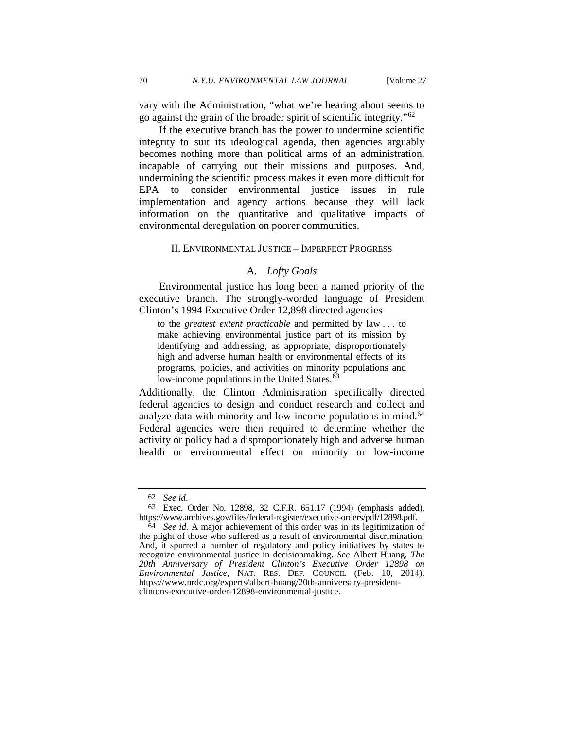vary with the Administration, "what we're hearing about seems to go against the grain of the broader spirit of scientific integrity."[62](#page-13-0)

If the executive branch has the power to undermine scientific integrity to suit its ideological agenda, then agencies arguably becomes nothing more than political arms of an administration, incapable of carrying out their missions and purposes. And, undermining the scientific process makes it even more difficult for EPA to consider environmental justice issues in rule implementation and agency actions because they will lack information on the quantitative and qualitative impacts of environmental deregulation on poorer communities.

# II. ENVIRONMENTAL JUSTICE – IMPERFECT PROGRESS

# <span id="page-13-3"></span>A. *Lofty Goals*

Environmental justice has long been a named priority of the executive branch. The strongly-worded language of President Clinton's 1994 Executive Order 12,898 directed agencies

to the *greatest extent practicable* and permitted by law . . . to make achieving environmental justice part of its mission by identifying and addressing, as appropriate, disproportionately high and adverse human health or environmental effects of its programs, policies, and activities on minority populations and low-income populations in the United States.<sup>6</sup>

Additionally, the Clinton Administration specifically directed federal agencies to design and conduct research and collect and analyze data with minority and low-income populations in mind.<sup>64</sup> Federal agencies were then required to determine whether the activity or policy had a disproportionately high and adverse human health or environmental effect on minority or low-income

<sup>62</sup> *See id*.

<span id="page-13-1"></span><span id="page-13-0"></span><sup>63</sup> Exec. Order No. 12898, 32 C.F.R. 651.17 (1994) (emphasis added), https://www.archives.gov/files/federal-register/executive-orders/pdf/12898.pdf.

<span id="page-13-2"></span><sup>64</sup> *See id.* A major achievement of this order was in its legitimization of the plight of those who suffered as a result of environmental discrimination. And, it spurred a number of regulatory and policy initiatives by states to recognize environmental justice in decisionmaking. *See* Albert Huang, *The 20th Anniversary of President Clinton's Executive Order 12898 on Environmental Justice*, NAT. RES. DEF. COUNCIL (Feb. 10, 2014), https://www.nrdc.org/experts/albert-huang/20th-anniversary-presidentclintons-executive-order-12898-environmental-justice.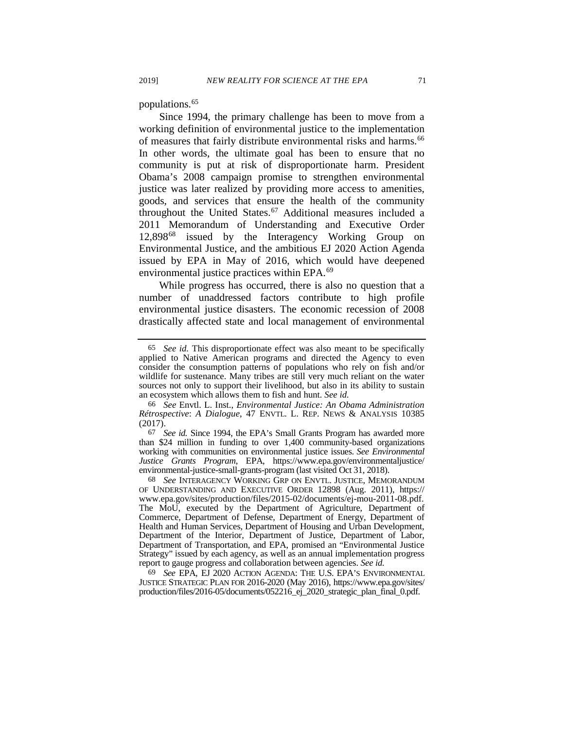populations.[65](#page-14-0)

<span id="page-14-5"></span>Since 1994, the primary challenge has been to move from a working definition of environmental justice to the implementation of measures that fairly distribute environmental risks and harms.<sup>[66](#page-14-1)</sup> In other words, the ultimate goal has been to ensure that no community is put at risk of disproportionate harm. President Obama's 2008 campaign promise to strengthen environmental justice was later realized by providing more access to amenities, goods, and services that ensure the health of the community throughout the United States.<sup>67</sup> Additional measures included a 2011 Memorandum of Understanding and Executive Order 12,898[68](#page-14-3) issued by the Interagency Working Group on Environmental Justice, and the ambitious EJ 2020 Action Agenda issued by EPA in May of 2016, which would have deepened environmental justice practices within EPA.[69](#page-14-4)

While progress has occurred, there is also no question that a number of unaddressed factors contribute to high profile environmental justice disasters. The economic recession of 2008 drastically affected state and local management of environmental

<span id="page-14-2"></span>67 *See id.* Since 1994, the EPA's Small Grants Program has awarded more than \$24 million in funding to over 1,400 community-based organizations working with communities on environmental justice issues. *See Environmental Justice Grants Program*, EPA, https://www.epa.gov/environmentaljustice/ environmental-justice-small-grants-program (last visited Oct 31, 2018).

<span id="page-14-3"></span>68 *See* INTERAGENCY WORKING GRP ON ENVTL. JUSTICE, MEMORANDUM OF UNDERSTANDING AND EXECUTIVE ORDER 12898 (Aug. 2011), https:// www.epa.gov/sites/production/files/2015-02/documents/ej-mou-2011-08.pdf. The MoU, executed by the Department of Agriculture, Department of Commerce, Department of Defense, Department of Energy, Department of Health and Human Services, Department of Housing and Urban Development, Department of the Interior, Department of Justice, Department of Labor, Department of Transportation, and EPA, promised an "Environmental Justice Strategy" issued by each agency, as well as an annual implementation progress report to gauge progress and collaboration between agencies. *See id.*

<span id="page-14-4"></span>69 *See* EPA, EJ 2020 ACTION AGENDA: THE U.S. EPA'S ENVIRONMENTAL JUSTICE STRATEGIC PLAN FOR 2016-2020 (May 2016), https://www.epa.gov/sites/ production/files/2016-05/documents/052216\_ej\_2020\_strategic\_plan\_final\_0.pdf.

<span id="page-14-0"></span><sup>65</sup> *See id.* This disproportionate effect was also meant to be specifically applied to Native American programs and directed the Agency to even consider the consumption patterns of populations who rely on fish and/or wildlife for sustenance. Many tribes are still very much reliant on the water sources not only to support their livelihood, but also in its ability to sustain an ecosystem which allows them to fish and hunt. *See id.*

<span id="page-14-1"></span><sup>66</sup> *See* Envtl. L. Inst., *Environmental Justice: An Obama Administration Rétrospective*: *A Dialogue*, 47 ENVTL. L. REP. NEWS & ANALYSIS 10385 (2017).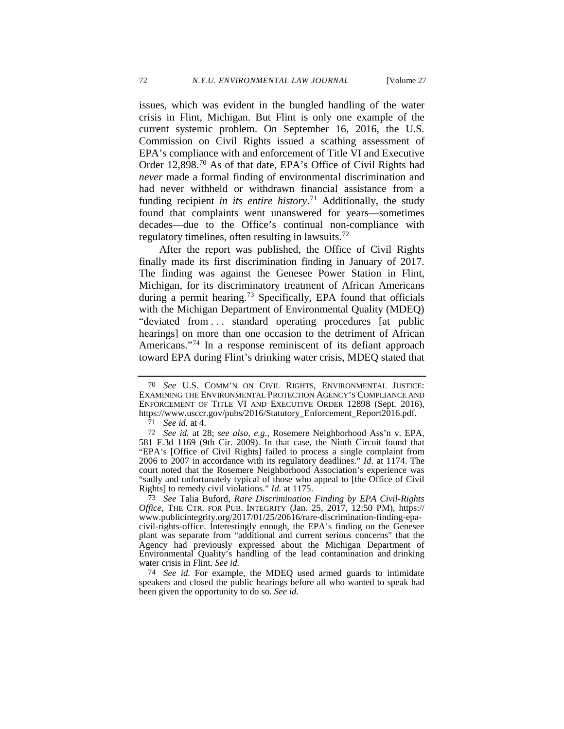<span id="page-15-5"></span>issues, which was evident in the bungled handling of the water crisis in Flint, Michigan. But Flint is only one example of the current systemic problem. On September 16, 2016, the U.S. Commission on Civil Rights issued a scathing assessment of EPA's compliance with and enforcement of Title VI and Executive Order 12,898[.70](#page-15-0) As of that date, EPA's Office of Civil Rights had *never* made a formal finding of environmental discrimination and had never withheld or withdrawn financial assistance from a funding recipient *in its entire history*. [71](#page-15-1) Additionally, the study found that complaints went unanswered for years—sometimes decades—due to the Office's continual non-compliance with regulatory timelines, often resulting in lawsuits.<sup>[72](#page-15-2)</sup>

After the report was published, the Office of Civil Rights finally made its first discrimination finding in January of 2017. The finding was against the Genesee Power Station in Flint, Michigan, for its discriminatory treatment of African Americans during a permit hearing.<sup>[73](#page-15-3)</sup> Specifically, EPA found that officials with the Michigan Department of Environmental Quality (MDEQ) "deviated from . . . standard operating procedures [at public hearings] on more than one occasion to the detriment of African Americans."<sup>[74](#page-15-4)</sup> In a response reminiscent of its defiant approach toward EPA during Flint's drinking water crisis, MDEQ stated that

<span id="page-15-0"></span><sup>70</sup> *See* U.S. COMM'N ON CIVIL RIGHTS, ENVIRONMENTAL JUSTICE: EXAMINING THE ENVIRONMENTAL PROTECTION AGENCY'S COMPLIANCE AND ENFORCEMENT OF TITLE VI AND EXECUTIVE ORDER 12898 (Sept. 2016), https://www.usccr.gov/pubs/2016/Statutory\_Enforcement\_Report2016.pdf.

<sup>71</sup> *See id.* at 4.

<span id="page-15-2"></span><span id="page-15-1"></span><sup>72</sup> *See id.* at 28; *see also, e.g*., Rosemere Neighborhood Ass'n v. EPA, 581 F.3d 1169 (9th Cir. 2009). In that case, the Ninth Circuit found that "EPA's [Office of Civil Rights] failed to process a single complaint from 2006 to 2007 in accordance with its regulatory deadlines." *Id*. at 1174. The "sadly and unfortunately typical of those who appeal to [the Office of Civil Rights] to remedy civil violations." *Id.* at 1175.

<span id="page-15-3"></span><sup>73</sup> *See* Talia Buford, *Rare Discrimination Finding by EPA Civil-Rights Office,* THE CTR. FOR PUB. INTEGRITY (Jan. 25, 2017, 12:50 PM), https:// www.publicintegrity.org/2017/01/25/20616/rare-discrimination-finding-epacivil-rights-office. Interestingly enough, the EPA's finding on the Genesee plant was separate from "additional and current serious concerns" that the Agency had previously expressed about the Michigan Department of Environmental Quality's handling of the lead contamination and drinking water crisis in Flint. *See id.*

<span id="page-15-4"></span><sup>74</sup> *See id.* For example, the MDEQ used armed guards to intimidate speakers and closed the public hearings before all who wanted to speak had been given the opportunity to do so. *See id.*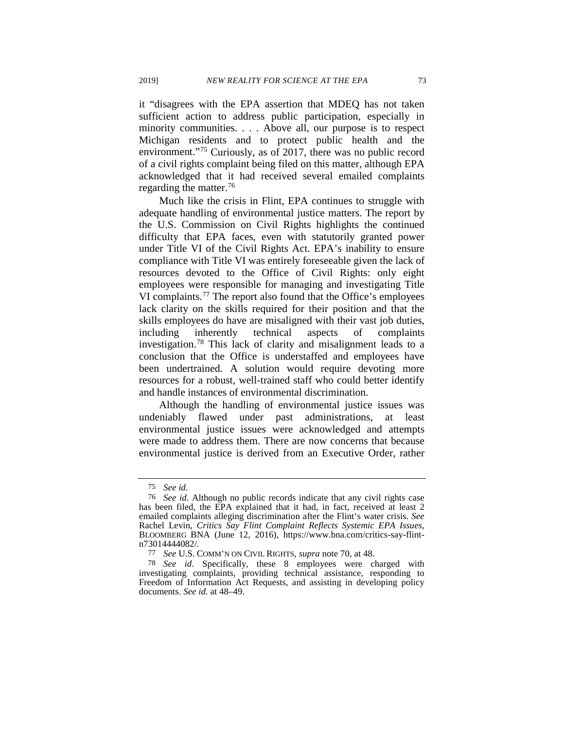it "disagrees with the EPA assertion that MDEQ has not taken sufficient action to address public participation, especially in minority communities. . . . Above all, our purpose is to respect Michigan residents and to protect public health and the environment."[75](#page-16-0) Curiously, as of 2017, there was no public record of a civil rights complaint being filed on this matter, although EPA acknowledged that it had received several emailed complaints regarding the matter.<sup>[76](#page-16-1)</sup>

Much like the crisis in Flint, EPA continues to struggle with adequate handling of environmental justice matters. The report by the U.S. Commission on Civil Rights highlights the continued difficulty that EPA faces, even with statutorily granted power under Title VI of the Civil Rights Act. EPA's inability to ensure compliance with Title VI was entirely foreseeable given the lack of resources devoted to the Office of Civil Rights: only eight employees were responsible for managing and investigating Title VI complaints.[77](#page-16-2) The report also found that the Office's employees lack clarity on the skills required for their position and that the skills employees do have are misaligned with their vast job duties, including inherently technical aspects of complaints investigation.[78](#page-16-3) This lack of clarity and misalignment leads to a conclusion that the Office is understaffed and employees have been undertrained. A solution would require devoting more resources for a robust, well-trained staff who could better identify and handle instances of environmental discrimination.

Although the handling of environmental justice issues was undeniably flawed under past administrations, at least environmental justice issues were acknowledged and attempts were made to address them. There are now concerns that because environmental justice is derived from an Executive Order, rather

<sup>75</sup> *See id.*

<span id="page-16-1"></span><span id="page-16-0"></span><sup>76</sup> *See id.* Although no public records indicate that any civil rights case has been filed, the EPA explained that it had, in fact, received at least 2 emailed complaints alleging discrimination after the Flint's water crisis. *See*  Rachel Levin, *Critics Say Flint Complaint Reflects Systemic EPA Issues*, BLOOMBERG BNA (June 12, 2016), https://www.bna.com/critics-say-flintn73014444082/.

<sup>77</sup> *See* U.S. COMM'N ON CIVIL RIGHTS, *supra* not[e 70,](#page-15-5) at 48.

<span id="page-16-3"></span><span id="page-16-2"></span><sup>78</sup> *See id*. Specifically, these 8 employees were charged with investigating complaints, providing technical assistance, responding to Freedom of Information Act Requests, and assisting in developing policy documents. *See id.* at 48–49.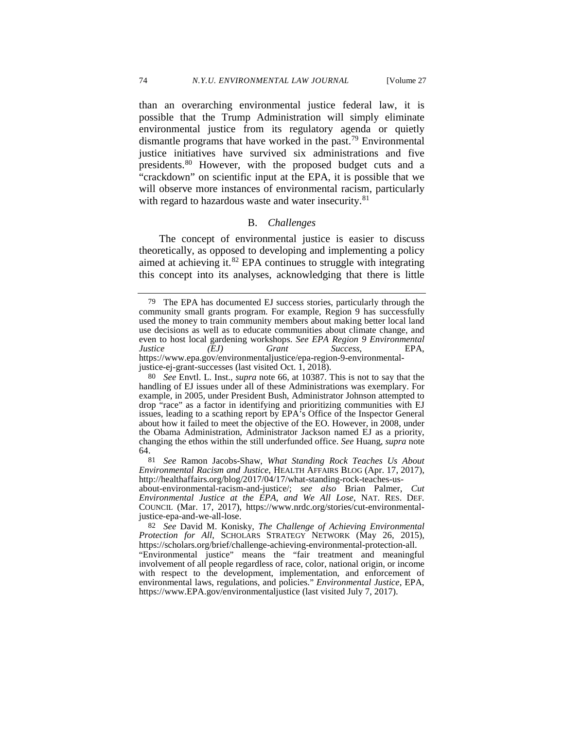than an overarching environmental justice federal law, it is possible that the Trump Administration will simply eliminate environmental justice from its regulatory agenda or quietly dismantle programs that have worked in the past.<sup>[79](#page-17-0)</sup> Environmental justice initiatives have survived six administrations and five presidents.[80](#page-17-1) However, with the proposed budget cuts and a "crackdown" on scientific input at the EPA, it is possible that we will observe more instances of environmental racism, particularly with regard to hazardous waste and water insecurity.<sup>[81](#page-17-2)</sup>

# B. *Challenges*

The concept of environmental justice is easier to discuss theoretically, as opposed to developing and implementing a policy aimed at achieving it.<sup>[82](#page-17-3)</sup> EPA continues to struggle with integrating this concept into its analyses, acknowledging that there is little

<span id="page-17-0"></span><sup>79</sup> The EPA has documented EJ success stories, particularly through the community small grants program. For example, Region 9 has successfully used the money to train community members about making better local land use decisions as well as to educate communities about climate change, and even to host local gardening workshops. *See EPA Region 9 Environmental Justice (EJ) Grant Success*, EPA, https://www.epa.gov/environmentaljustice/epa-region-9-environmentaljustice-ej-grant-successes (last visited Oct. 1, 2018).

<span id="page-17-1"></span><sup>80</sup> *See* Envtl. L. Inst., *supra* note [66,](#page-14-5) at 10387. This is not to say that the handling of EJ issues under all of these Administrations was exemplary. For example, in 2005, under President Bush, Administrator Johnson attempted to drop "race" as a factor in identifying and prioritizing communities with EJ issues, leading to a scathing report by EPA's Office of the Inspector General about how it failed to meet the objective of the EO. However, in 2008, under the Obama Administration, Administrator Jackson named EJ as a priority, changing the ethos within the still underfunded office. *See* Huang, *supra* note [64.](#page-13-3)

<span id="page-17-2"></span><sup>81</sup> *See* Ramon Jacobs-Shaw, *What Standing Rock Teaches Us About http://healthaffairs.org/blog/2017/04/17/what-standing-rock-teaches-us-*

about-environmental-racism-and-justice/; *see also* Brian Palmer, *Cut Environmental Justice at the EPA, and We All Lose*, NAT. RES. DEF. COUNCIL (Mar. 17, 2017), https://www.nrdc.org/stories/cut-environmentaljustice-epa-and-we-all-lose.

<span id="page-17-3"></span><sup>82</sup> *See* David M. Konisky, *The Challenge of Achieving Environmental Protection for All*, SCHOLARS STRATEGY NETWORK (May 26, 2015), https://scholars.org/brief/challenge-achieving-environmental-protection-all. "Environmental justice" means the "fair treatment and meaningful involvement of all people regardless of race, color, national origin, or income with respect to the development, implementation, and enforcement of environmental laws, regulations, and policies." *Environmental Justice*, EPA, https://www.EPA.gov/environmentaljustice (last visited July 7, 2017).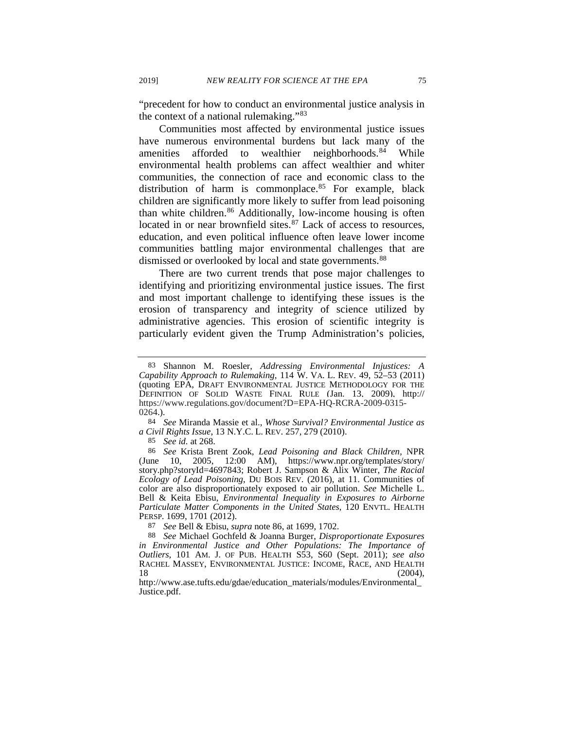"precedent for how to conduct an environmental justice analysis in the context of a national rulemaking."[83](#page-18-1)

Communities most affected by environmental justice issues have numerous environmental burdens but lack many of the amenities afforded to wealthier neighborhoods. $84$  While environmental health problems can affect wealthier and whiter communities, the connection of race and economic class to the distribution of harm is commonplace. $85$  For example, black children are significantly more likely to suffer from lead poisoning than white children.<sup>[86](#page-18-4)</sup> Additionally, low-income housing is often located in or near brownfield sites.<sup>[87](#page-18-5)</sup> Lack of access to resources, education, and even political influence often leave lower income communities battling major environmental challenges that are dismissed or overlooked by local and state governments.<sup>[88](#page-18-6)</sup>

<span id="page-18-0"></span>There are two current trends that pose major challenges to identifying and prioritizing environmental justice issues. The first and most important challenge to identifying these issues is the erosion of transparency and integrity of science utilized by administrative agencies. This erosion of scientific integrity is particularly evident given the Trump Administration's policies,

<span id="page-18-2"></span>84 *See* Miranda Massie et al., *Whose Survival? Environmental Justice as a Civil Rights Issue*, 13 N.Y.C. L. REV. 257, 279 (2010).

85 *See id.* at 268.

<span id="page-18-4"></span><span id="page-18-3"></span>86 *See* Krista Brent Zook, *Lead Poisoning and Black Children*, NPR (June 10, 2005, 12:00 AM), https://www.npr.org/templates/story/ story.php?storyId=4697843; Robert J. Sampson & Alix Winter, *The Racial Ecology of Lead Poisoning*, DU BOIS REV. (2016), at 11. Communities of color are also disproportionately exposed to air pollution. *See* Michelle L. Bell & Keita Ebisu, *Environmental Inequality in Exposures to Airborne Particulate Matter Components in the United States*, 120 ENVTL. HEALTH PERSP. 1699, 1701 (2012).

87 *See* Bell & Ebisu, *supra* note [86,](#page-18-0) at 1699, 1702.

<span id="page-18-1"></span><sup>83</sup> Shannon M. Roesler, *Addressing Environmental Injustices: A Capability Approach to Rulemaking*, 114 W. VA. L. REV. 49, 52–53 (2011) (quoting EPA, DRAFT ENVIRONMENTAL JUSTICE METHODOLOGY FOR THE DEFINITION OF SOLID WASTE FINAL RULE (Jan. 13, 2009), http:// https://www.regulations.gov/document?D=EPA-HQ-RCRA-2009-0315- 0264.).

<span id="page-18-6"></span><span id="page-18-5"></span><sup>88</sup> *See* Michael Gochfeld & Joanna Burger, *Disproportionate Exposures in Environmental Justice and Other Populations: The Importance of Outliers*, 101 AM. J. OF PUB. HEALTH S53, S60 (Sept. 2011); *see also* RACHEL MASSEY, ENVIRONMENTAL JUSTICE: INCOME, RACE, AND HEALTH 18 (2004).  $18$  (2004),

http://www.ase.tufts.edu/gdae/education\_materials/modules/Environmental\_ Justice.pdf.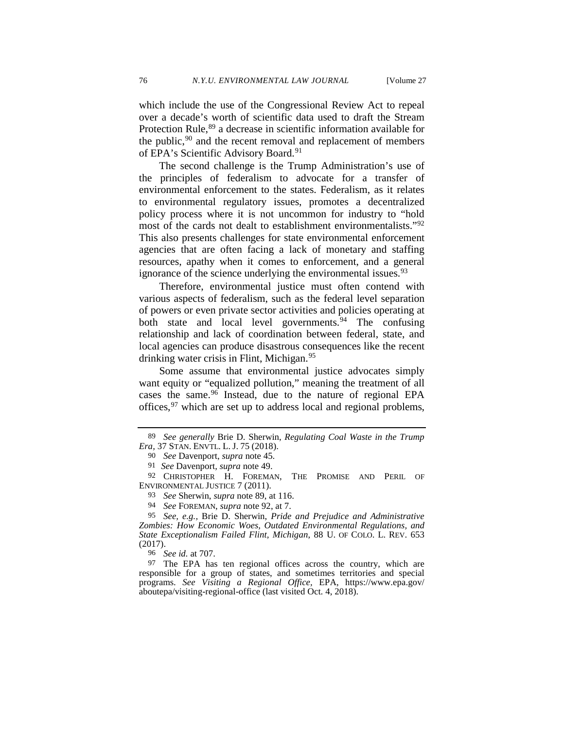<span id="page-19-0"></span>which include the use of the Congressional Review Act to repeal over a decade's worth of scientific data used to draft the Stream Protection Rule,<sup>89</sup> a decrease in scientific information available for the public,<sup>[90](#page-19-3)</sup> and the recent removal and replacement of members of EPA's Scientific Advisory Board.<sup>[91](#page-19-4)</sup>

<span id="page-19-1"></span>The second challenge is the Trump Administration's use of the principles of federalism to advocate for a transfer of environmental enforcement to the states. Federalism, as it relates to environmental regulatory issues, promotes a decentralized policy process where it is not uncommon for industry to "hold most of the cards not dealt to establishment environmentalists."[92](#page-19-5) This also presents challenges for state environmental enforcement agencies that are often facing a lack of monetary and staffing resources, apathy when it comes to enforcement, and a general ignorance of the science underlying the environmental issues.<sup>[93](#page-19-6)</sup>

Therefore, environmental justice must often contend with various aspects of federalism, such as the federal level separation of powers or even private sector activities and policies operating at both state and local level governments.<sup>[94](#page-19-7)</sup> The confusing relationship and lack of coordination between federal, state, and local agencies can produce disastrous consequences like the recent drinking water crisis in Flint, Michigan.<sup>[95](#page-19-8)</sup>

Some assume that environmental justice advocates simply want equity or "equalized pollution," meaning the treatment of all cases the same.[96](#page-19-9) Instead, due to the nature of regional EPA offices,  $97$  which are set up to address local and regional problems,

<span id="page-19-2"></span><sup>89</sup> *See generally* Brie D. Sherwin, *Regulating Coal Waste in the Trump Era,* 37 STAN. ENVTL. L. J. 75 (2018).

<sup>90</sup> *See* Davenport, *supra* note [45.](#page-9-6)

<sup>91</sup> *See* Davenport*, supra* not[e 49.](#page-10-0)

<span id="page-19-6"></span><span id="page-19-5"></span><span id="page-19-4"></span><span id="page-19-3"></span><sup>92</sup> CHRISTOPHER H. FOREMAN, THE PROMISE AND PERIL OF ENVIRONMENTAL JUSTICE 7 (2011).

<sup>93</sup> *See* Sherwin, *supra* note [89,](#page-19-0) at 116.

<sup>94</sup> *See* FOREMAN, *supra* note [92,](#page-19-1) at 7.

<span id="page-19-8"></span><span id="page-19-7"></span><sup>95</sup> *See, e.g.,* Brie D. Sherwin, *Pride and Prejudice and Administrative Zombies: How Economic Woes, Outdated Environmental Regulations, and State Exceptionalism Failed Flint, Michigan*, 88 U. OF COLO. L. REV. 653 (2017).

<sup>96</sup> *See id.* at 707.

<span id="page-19-10"></span><span id="page-19-9"></span><sup>97</sup> The EPA has ten regional offices across the country, which are responsible for a group of states, and sometimes territories and special programs. *See Visiting a Regional Office,* EPA, https://www.epa.gov/ aboutepa/visiting-regional-office (last visited Oct. 4, 2018).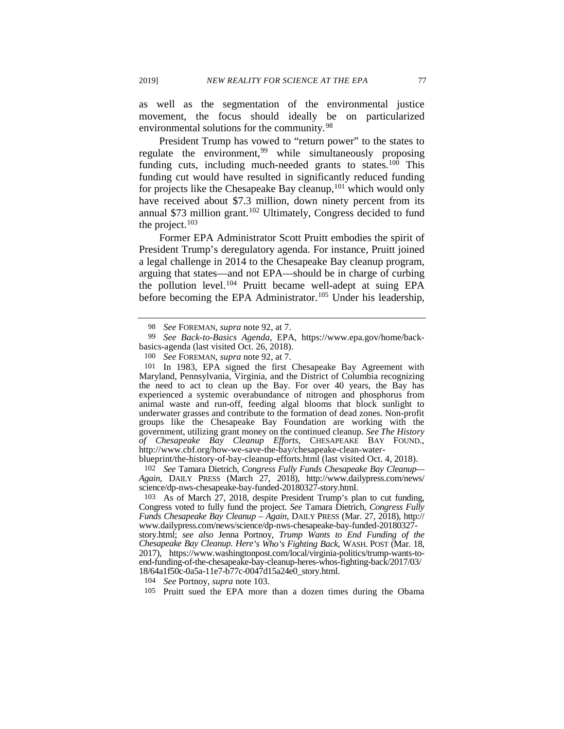as well as the segmentation of the environmental justice movement, the focus should ideally be on particularized environmental solutions for the community.<sup>[98](#page-20-1)</sup>

President Trump has vowed to "return power" to the states to regulate the environment,<sup>[99](#page-20-2)</sup> while simultaneously proposing funding cuts, including much-needed grants to states.<sup>[100](#page-20-3)</sup> This funding cut would have resulted in significantly reduced funding for projects like the Chesapeake Bay cleanup,<sup>[101](#page-20-4)</sup> which would only have received about \$7.3 million, down ninety percent from its annual \$73 million grant.<sup>[102](#page-20-5)</sup> Ultimately, Congress decided to fund the project. $103$ 

<span id="page-20-0"></span>Former EPA Administrator Scott Pruitt embodies the spirit of President Trump's deregulatory agenda. For instance, Pruitt joined a legal challenge in 2014 to the Chesapeake Bay cleanup program, arguing that states—and not EPA—should be in charge of curbing the pollution level.[104](#page-20-7) Pruitt became well-adept at suing EPA before becoming the EPA Administrator.<sup>[105](#page-20-8)</sup> Under his leadership,

blueprint/the-history-of-bay-cleanup-efforts.html (last visited Oct. 4, 2018).

<span id="page-20-5"></span>102 *See* Tamara Dietrich, *Congress Fully Funds Chesapeake Bay Cleanup— Again*, DAILY PRESS (March 27, 2018), http://www.dailypress.com/news/ science/dp-nws-chesapeake-bay-funded-20180327-story.html.

story.html; *see also* Jenna Portnoy, *Trump Wants to End Funding of the Chesapeake Bay Cleanup. Here's Who's Fighting Back*, WASH. POST (Mar. 18, 2017), https://www.washingtonpost.com/local/virginia-politics/trump-wants-toend-funding-of-the-chesapeake-bay-cleanup-heres-whos-fighting-back/2017/03/ 18/64a1f50c-0a5a-11e7-b77c-0047d15a24e0\_story.html.

<span id="page-20-7"></span>104 *See* Portnoy, *supra* note [103.](#page-20-0)

<span id="page-20-8"></span>105 Pruitt sued the EPA more than a dozen times during the Obama

<span id="page-20-9"></span><sup>98</sup> *See* FOREMAN, *supra* note [92,](#page-19-1) at 7.

<span id="page-20-2"></span><span id="page-20-1"></span><sup>99</sup> *See Back-to-Basics Agenda*, EPA, [https://www.epa.gov/home/back](https://www.epa.gov/home/back-basics-agenda)[basics-agenda](https://www.epa.gov/home/back-basics-agenda) (last visited Oct. 26, 2018).

<sup>100</sup> *See* FOREMAN, *supra* note [92,](#page-19-1) at 7.

<span id="page-20-4"></span><span id="page-20-3"></span><sup>101</sup> In 1983, EPA signed the first Chesapeake Bay Agreement with Maryland, Pennsylvania, Virginia, and the District of Columbia recognizing the need to act to clean up the Bay. For over 40 years, the Bay has experienced a systemic overabundance of nitrogen and phosphorus from animal waste and run-off, feeding algal blooms that block sunlight to underwater grasses and contribute to the formation of dead zones. Non-profit groups like the Chesapeake Bay Foundation are working with the government, utilizing grant money on the continued cleanup. *See The History of Chesapeake Bay Cleanup Efforts*, CHESAPEAKE BAY FOUND., http://www.cbf.org/how-we-save-the-bay/chesapeake-clean-water-

<span id="page-20-6"></span><sup>103</sup> As of March 27, 2018, despite President Trump's plan to cut funding, Congress voted to fully fund the project. *See* Tamara Dietrich, *Congress Fully Funds Chesapeake Bay Cleanup – Again*, DAILY PRESS (Mar. 27, 2018), http:// www.dailypress.com/news/science/dp-nws-chesapeake-bay-funded-20180327-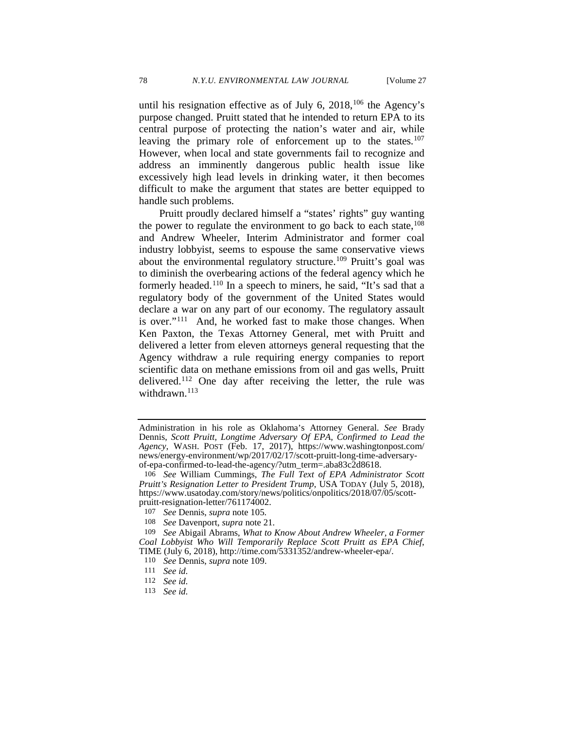until his resignation effective as of July 6,  $2018$ ,  $106$  the Agency's purpose changed. Pruitt stated that he intended to return EPA to its central purpose of protecting the nation's water and air, while leaving the primary role of enforcement up to the states.<sup>[107](#page-21-2)</sup> However, when local and state governments fail to recognize and address an imminently dangerous public health issue like excessively high lead levels in drinking water, it then becomes difficult to make the argument that states are better equipped to handle such problems.

<span id="page-21-0"></span>Pruitt proudly declared himself a "states' rights" guy wanting the power to regulate the environment to go back to each state,  $108$ and Andrew Wheeler, Interim Administrator and former coal industry lobbyist, seems to espouse the same conservative views about the environmental regulatory structure.<sup>[109](#page-21-4)</sup> Pruitt's goal was to diminish the overbearing actions of the federal agency which he formerly headed.<sup>[110](#page-21-5)</sup> In a speech to miners, he said, "It's sad that a regulatory body of the government of the United States would declare a war on any part of our economy. The regulatory assault is over."[111](#page-21-6) And, he worked fast to make those changes. When Ken Paxton, the Texas Attorney General, met with Pruitt and delivered a letter from eleven attorneys general requesting that the Agency withdraw a rule requiring energy companies to report scientific data on methane emissions from oil and gas wells, Pruitt delivered.<sup>[112](#page-21-7)</sup> One day after receiving the letter, the rule was withdrawn.<sup>[113](#page-21-8)</sup>

108 *See* Davenport, *supra* note [21.](#page-5-5)

<span id="page-21-6"></span><span id="page-21-5"></span><span id="page-21-4"></span><span id="page-21-3"></span><span id="page-21-2"></span>109 *See* Abigail Abrams, *What to Know About Andrew Wheeler, a Former Coal Lobbyist Who Will Temporarily Replace Scott Pruitt as EPA Chief*, TIME (July 6, 2018), http://time.com/5331352/andrew-wheeler-epa/.

- 110 *See* Dennis, *supra* note [109.](#page-21-0)
- 111 *See id.*
- <span id="page-21-7"></span>112 *See id.*
- <span id="page-21-8"></span>113 *See id.*

Administration in his role as Oklahoma's Attorney General. *See* Brady Dennis, *Scott Pruitt, Longtime Adversary Of EPA, Confirmed to Lead the Agency*, WASH. POST (Feb. 17, 2017), https://www.washingtonpost.com/ news/energy-environment/wp/2017/02/17/scott-pruitt-long-time-adversaryof-epa-confirmed-to-lead-the-agency/?utm\_term=.aba83c2d8618.

<span id="page-21-1"></span><sup>106</sup> *See* William Cummings, *The Full Text of EPA Administrator Scott Pruitt's Resignation Letter to President Trump*, USA TODAY (July 5, 2018), https://www.usatoday.com/story/news/politics/onpolitics/2018/07/05/scott- pruitt-resignation-letter/761174002.

<sup>107</sup> *See* Dennis, *supra* note [105](#page-20-9)*.*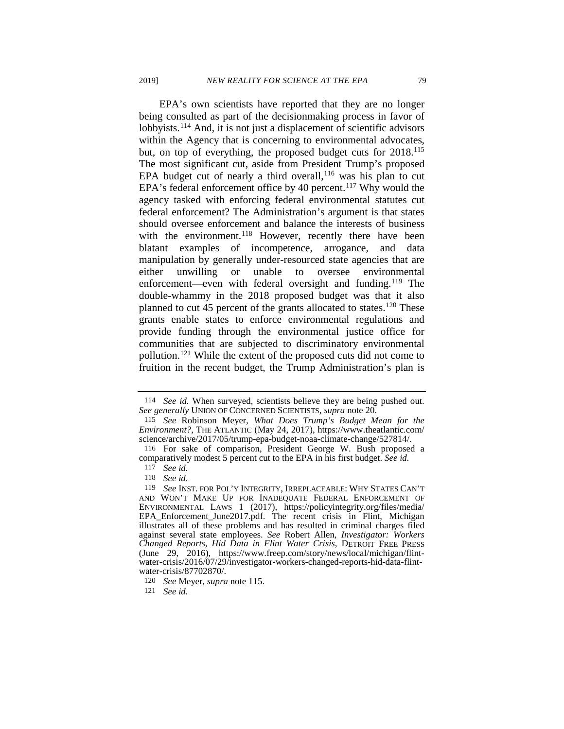<span id="page-22-0"></span>EPA's own scientists have reported that they are no longer being consulted as part of the decisionmaking process in favor of lobbyists.<sup>[114](#page-22-1)</sup> And, it is not just a displacement of scientific advisors within the Agency that is concerning to environmental advocates, but, on top of everything, the proposed budget cuts for 2018.<sup>115</sup> The most significant cut, aside from President Trump's proposed EPA budget cut of nearly a third overall,  $116$  was his plan to cut EPA's federal enforcement office by 40 percent.<sup>[117](#page-22-4)</sup> Why would the agency tasked with enforcing federal environmental statutes cut federal enforcement? The Administration's argument is that states should oversee enforcement and balance the interests of business with the environment.<sup>118</sup> However, recently there have been blatant examples of incompetence, arrogance, and data manipulation by generally under-resourced state agencies that are either unwilling or unable to oversee environmental enforcement—even with federal oversight and funding.<sup>[119](#page-22-6)</sup> The double-whammy in the 2018 proposed budget was that it also planned to cut 45 percent of the grants allocated to states.<sup>[120](#page-22-7)</sup> These grants enable states to enforce environmental regulations and provide funding through the environmental justice office for communities that are subjected to discriminatory environmental pollution.[121](#page-22-8) While the extent of the proposed cuts did not come to fruition in the recent budget, the Trump Administration's plan is

<span id="page-22-1"></span><sup>114</sup> *See id.* When surveyed, scientists believe they are being pushed out. *See generally* UNION OF CONCERNED SCIENTISTS, *supra* note [20.](#page-5-6)

<span id="page-22-2"></span><sup>115</sup> *See* Robinson Meyer, *What Does Trump's Budget Mean for the Environment?*, THE ATLANTIC (May 24, 2017), https://www.theatlantic.com/ science/archive/2017/05/trump-epa-budget-noaa-climate-change/527814/.

<span id="page-22-4"></span><span id="page-22-3"></span><sup>116</sup> For sake of comparison, President George W. Bush proposed a comparatively modest 5 percent cut to the EPA in his first budget. *See id.*

<sup>117</sup> *See id.*

<sup>118</sup> *See id.*

<span id="page-22-6"></span><span id="page-22-5"></span><sup>119</sup> *See* INST. FOR POL'Y INTEGRITY, IRREPLACEABLE: WHY STATES CAN'T AND WON'T MAKE UP FOR INADEQUATE FEDERAL ENFORCEMENT OF ENVIRONMENTAL LAWS 1 (2017), https://policyintegrity.org/files/media/ EPA\_Enforcement\_June2017.pdf. The recent crisis in Flint, Michigan illustrates all of these problems and has resulted in criminal charges filed against several state employees. *See* Robert Allen, *Investigator: Workers Changed Reports, Hid Data in Flint Water Crisis*, DETROIT FREE PRESS (June 29, 2016), https://www.freep.com/story/news/local/michigan/flintwater-crisis/2016/07/29/investigator-workers-changed-reports-hid-data-flintwater-crisis/87702870/.

<span id="page-22-7"></span><sup>120</sup> *See* Meyer, *supra* note [115.](#page-22-0)

<span id="page-22-8"></span><sup>121</sup> *See id.*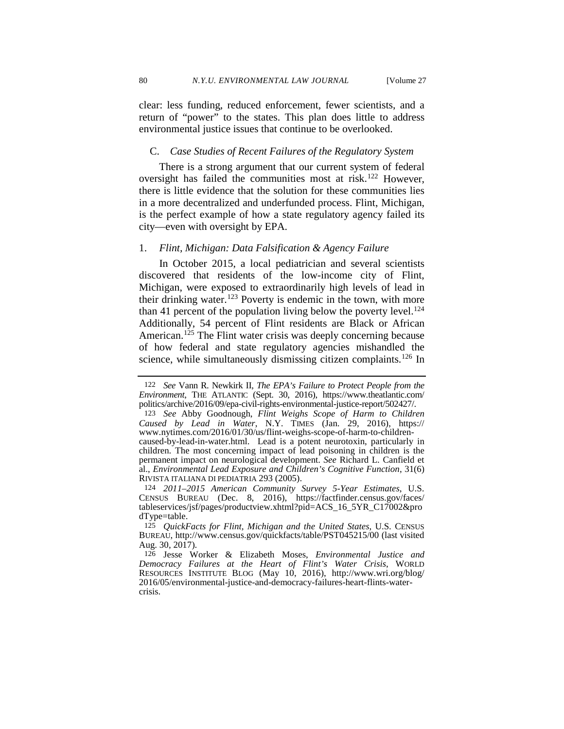clear: less funding, reduced enforcement, fewer scientists, and a return of "power" to the states. This plan does little to address environmental justice issues that continue to be overlooked.

# C. *Case Studies of Recent Failures of the Regulatory System*

There is a strong argument that our current system of federal oversight has failed the communities most at risk.<sup>[122](#page-23-0)</sup> However, there is little evidence that the solution for these communities lies in a more decentralized and underfunded process. Flint, Michigan, is the perfect example of how a state regulatory agency failed its city—even with oversight by EPA.

#### 1. *Flint, Michigan: Data Falsification & Agency Failure*

In October 2015, a local pediatrician and several scientists discovered that residents of the low-income city of Flint, Michigan, were exposed to extraordinarily high levels of lead in their drinking water.[123](#page-23-1) Poverty is endemic in the town, with more than 41 percent of the population living below the poverty level.<sup>124</sup> Additionally, 54 percent of Flint residents are Black or African American.<sup>[125](#page-23-3)</sup> The Flint water crisis was deeply concerning because of how federal and state regulatory agencies mishandled the science, while simultaneously dismissing citizen complaints.<sup>[126](#page-23-4)</sup> In

<span id="page-23-2"></span>124 *2011–2015 American Community Survey 5-Year Estimates*, U.S. CENSUS BUREAU (Dec. 8, 2016), https://factfinder.census.gov/faces/ tableservices/jsf/pages/productview.xhtml?pid=ACS\_16\_5YR\_C17002&pro dType=table.

<span id="page-23-0"></span><sup>122</sup> *See* Vann R. Newkirk II, *The EPA's Failure to Protect People from the Environment*, THE ATLANTIC (Sept. 30, 2016), https://www.theatlantic.com/ politics/archive/2016/09/epa-civil-rights-environmental-justice-report/502427/.

<span id="page-23-1"></span><sup>123</sup> *See* Abby Goodnough, *Flint Weighs Scope of Harm to Children Caused by Lead in Water*, N.Y. TIMES (Jan. 29, 2016), https:// www.nytimes.com/2016/01/30/us/flint-weighs-scope-of-harm-to-childrencaused-by-lead-in-water.html. Lead is a potent neurotoxin, particularly in children. The most concerning impact of lead poisoning in children is the permanent impact on neurological development. *See* Richard L. Canfield et al., *Environmental Lead Exposure and Children's Cognitive Function*, 31(6) RIVISTA ITALIANA DI PEDIATRIA 293 (2005).

<span id="page-23-3"></span><sup>125</sup> *QuickFacts for Flint, Michigan and the United States*, U.S. CENSUS BUREAU, http://www.census.gov/quickfacts/table/PST045215/00 (last visited Aug. 30, 2017).

<span id="page-23-4"></span><sup>126</sup> Jesse Worker & Elizabeth Moses, *Environmental Justice and Democracy Failures at the Heart of Flint's Water Crisis*, WORLD RESOURCES INSTITUTE BLOG (May 10, 2016), http://www.wri.org/blog/ 2016/05/environmental-justice-and-democracy-failures-heart-flints-watercrisis.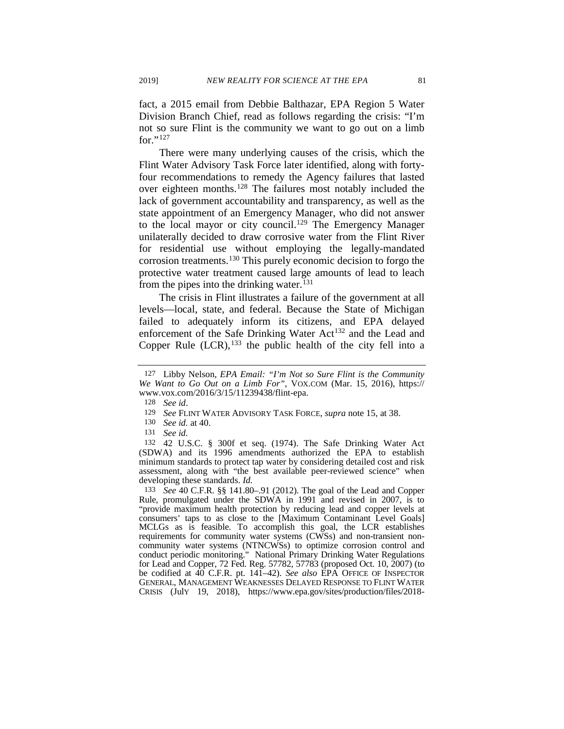fact, a 2015 email from Debbie Balthazar, EPA Region 5 Water Division Branch Chief, read as follows regarding the crisis: "I'm not so sure Flint is the community we want to go out on a limb for." $^{127}$  $^{127}$  $^{127}$ 

There were many underlying causes of the crisis, which the Flint Water Advisory Task Force later identified, along with fortyfour recommendations to remedy the Agency failures that lasted over eighteen months[.128](#page-24-1) The failures most notably included the lack of government accountability and transparency, as well as the state appointment of an Emergency Manager, who did not answer to the local mayor or city council.<sup>[129](#page-24-2)</sup> The Emergency Manager unilaterally decided to draw corrosive water from the Flint River for residential use without employing the legally-mandated corrosion treatments.[130](#page-24-3) This purely economic decision to forgo the protective water treatment caused large amounts of lead to leach from the pipes into the drinking water.<sup>[131](#page-24-4)</sup>

The crisis in Flint illustrates a failure of the government at all levels—local, state, and federal. Because the State of Michigan failed to adequately inform its citizens, and EPA delayed enforcement of the Safe Drinking Water Act<sup>[132](#page-24-5)</sup> and the Lead and Copper Rule  $(LCR)$ ,  $^{133}$  $^{133}$  $^{133}$  the public health of the city fell into a

<span id="page-24-5"></span><span id="page-24-4"></span><span id="page-24-3"></span><span id="page-24-2"></span>132 42 U.S.C. § 300f et seq. (1974). The Safe Drinking Water Act (SDWA) and its 1996 amendments authorized the EPA to establish minimum standards to protect tap water by considering detailed cost and risk assessment, along with "the best available peer-reviewed science" when developing these standards. *Id.*

<span id="page-24-6"></span>133 *See* 40 C.F.R. §§ 141.80–.91 (2012). The goal of the Lead and Copper Rule, promulgated under the SDWA in 1991 and revised in 2007, is to "provide maximum health protection by reducing lead and copper levels at consumers' taps to as close to the [Maximum Contaminant Level Goals] MCLGs as is feasible. To accomplish this goal, the LCR establishes requirements for community water systems (CWSs) and non-transient noncommunity water systems (NTNCWSs) to optimize corrosion control and conduct periodic monitoring." National Primary Drinking Water Regulations for Lead and Copper, 72 Fed. Reg. 57782, 57783 (proposed Oct. 10, 2007) (to be codified at 40 C.F.R. pt. 141–42). *See also* EPA OFFICE OF INSPECTOR GENERAL, MANAGEMENT WEAKNESSES DELAYED RESPONSE TO FLINT WATER CRISIS (JulY 19, 2018), https://www.epa.gov/sites/production/files/2018-

<span id="page-24-1"></span><span id="page-24-0"></span><sup>127</sup> Libby Nelson, *EPA Email: "I'm Not so Sure Flint is the Community We Want to Go Out on a Limb For"*, VOX.COM (Mar. 15, 2016), https:// www.vox.com/2016/3/15/11239438/flint-epa.

<sup>128</sup> *See id*.

<sup>129</sup> *See* FLINT WATER ADVISORY TASK FORCE, *supra* note [15,](#page-4-6) at 38.

<sup>130</sup> *See id.* at 40.

<sup>131</sup> *See id.*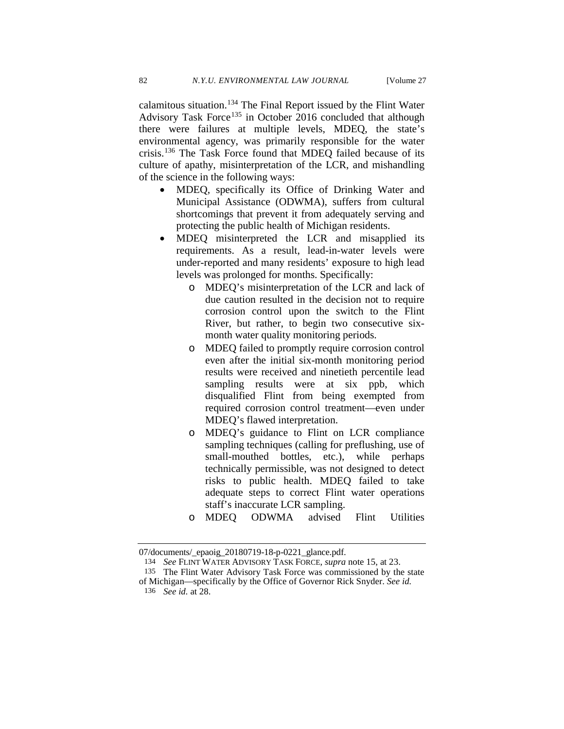calamitous situation.[134](#page-25-0) The Final Report issued by the Flint Water Advisory Task Force<sup>[135](#page-25-1)</sup> in October 2016 concluded that although there were failures at multiple levels, MDEQ, the state's environmental agency, was primarily responsible for the water crisis.[136](#page-25-2) The Task Force found that MDEQ failed because of its culture of apathy, misinterpretation of the LCR, and mishandling of the science in the following ways:

- MDEQ, specifically its Office of Drinking Water and Municipal Assistance (ODWMA), suffers from cultural shortcomings that prevent it from adequately serving and protecting the public health of Michigan residents.
- MDEQ misinterpreted the LCR and misapplied its requirements. As a result, lead-in-water levels were under-reported and many residents' exposure to high lead levels was prolonged for months. Specifically:
	- o MDEQ's misinterpretation of the LCR and lack of due caution resulted in the decision not to require corrosion control upon the switch to the Flint River, but rather, to begin two consecutive sixmonth water quality monitoring periods.
	- o MDEQ failed to promptly require corrosion control even after the initial six-month monitoring period results were received and ninetieth percentile lead sampling results were at six ppb, which disqualified Flint from being exempted from required corrosion control treatment—even under MDEQ's flawed interpretation.
	- o MDEQ's guidance to Flint on LCR compliance sampling techniques (calling for preflushing, use of small-mouthed bottles, etc.), while perhaps technically permissible, was not designed to detect risks to public health. MDEQ failed to take adequate steps to correct Flint water operations staff's inaccurate LCR sampling.
	- o MDEQ ODWMA advised Flint Utilities

<span id="page-25-0"></span><sup>07/</sup>documents/\_epaoig\_20180719-18-p-0221\_glance.pdf.

<sup>134</sup> *See* FLINT WATER ADVISORY TASK FORCE*, supra* note [15,](#page-4-6) at 23.

<sup>135</sup> The Flint Water Advisory Task Force was commissioned by the state

<span id="page-25-2"></span><span id="page-25-1"></span>of Michigan—specifically by the Office of Governor Rick Snyder. *See id.*  136 *See id.* at 28.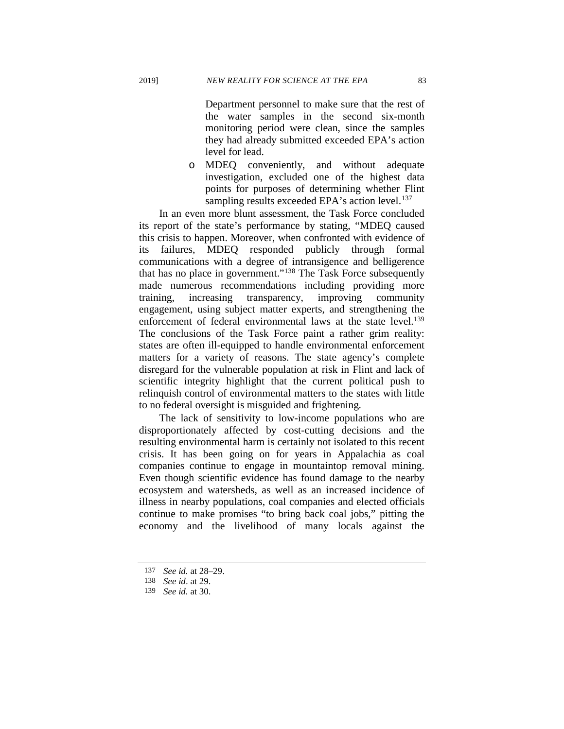Department personnel to make sure that the rest of the water samples in the second six-month monitoring period were clean, since the samples they had already submitted exceeded EPA's action level for lead.

o MDEQ conveniently, and without adequate investigation, excluded one of the highest data points for purposes of determining whether Flint sampling results exceeded EPA's action level.<sup>[137](#page-26-0)</sup>

In an even more blunt assessment, the Task Force concluded its report of the state's performance by stating, "MDEQ caused this crisis to happen. Moreover, when confronted with evidence of failures, MDEQ responded publicly through formal communications with a degree of intransigence and belligerence that has no place in government."[138](#page-26-1) The Task Force subsequently made numerous recommendations including providing more training, increasing transparency, improving community engagement, using subject matter experts, and strengthening the enforcement of federal environmental laws at the state level.<sup>139</sup> The conclusions of the Task Force paint a rather grim reality: states are often ill-equipped to handle environmental enforcement matters for a variety of reasons. The state agency's complete disregard for the vulnerable population at risk in Flint and lack of scientific integrity highlight that the current political push to relinquish control of environmental matters to the states with little to no federal oversight is misguided and frightening.

The lack of sensitivity to low-income populations who are disproportionately affected by cost-cutting decisions and the resulting environmental harm is certainly not isolated to this recent crisis. It has been going on for years in Appalachia as coal companies continue to engage in mountaintop removal mining. Even though scientific evidence has found damage to the nearby ecosystem and watersheds, as well as an increased incidence of illness in nearby populations, coal companies and elected officials continue to make promises "to bring back coal jobs," pitting the economy and the livelihood of many locals against the

<sup>137</sup> *See id.* at 28–29.

<span id="page-26-2"></span><span id="page-26-1"></span><span id="page-26-0"></span><sup>138</sup> *See id*. at 29.

<sup>139</sup> *See id.* at 30.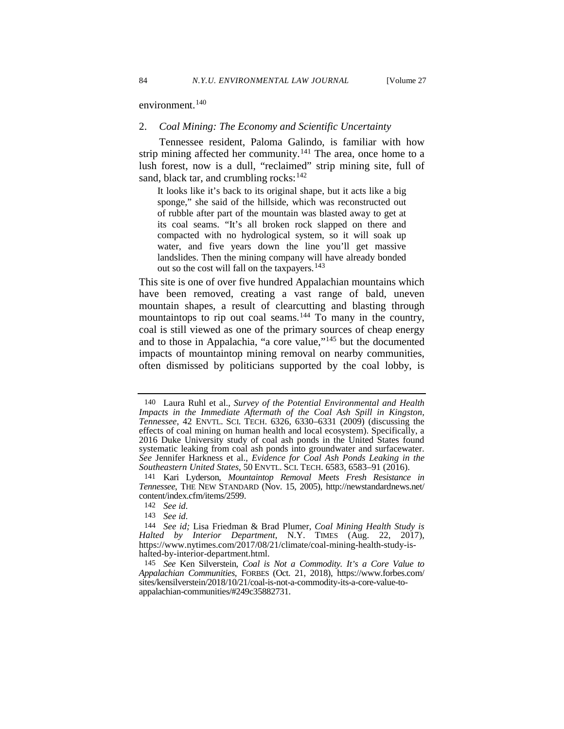environment.<sup>[140](#page-27-0)</sup>

# 2. *Coal Mining: The Economy and Scientific Uncertainty*

Tennessee resident, Paloma Galindo, is familiar with how strip mining affected her community.<sup>[141](#page-27-1)</sup> The area, once home to a lush forest, now is a dull, "reclaimed" strip mining site, full of sand, black tar, and crumbling rocks:  $142$ 

It looks like it's back to its original shape, but it acts like a big sponge," she said of the hillside, which was reconstructed out of rubble after part of the mountain was blasted away to get at its coal seams. "It's all broken rock slapped on there and compacted with no hydrological system, so it will soak up water, and five years down the line you'll get massive landslides. Then the mining company will have already bonded out so the cost will fall on the taxpayers.<sup>[143](#page-27-3)</sup>

<span id="page-27-6"></span>This site is one of over five hundred Appalachian mountains which have been removed, creating a vast range of bald, uneven mountain shapes, a result of clearcutting and blasting through mountaintops to rip out coal seams.<sup>[144](#page-27-4)</sup> To many in the country, coal is still viewed as one of the primary sources of cheap energy and to those in Appalachia, "a core value,"[145](#page-27-5) but the documented impacts of mountaintop mining removal on nearby communities, often dismissed by politicians supported by the coal lobby, is

<span id="page-27-0"></span><sup>140</sup> Laura Ruhl et al., *Survey of the Potential Environmental and Health Impacts in the Immediate Aftermath of the Coal Ash Spill in Kingston, Tennessee*, 42 ENVTL. SCI. TECH. 6326, 6330–6331 (2009) (discussing the effects of coal mining on human health and local ecosystem). Specifically, a 2016 Duke University study of coal ash ponds in the United States found systematic leaking from coal ash ponds into groundwater and surfacewater. *See* Jennifer Harkness et al., *Evidence for Coal Ash Ponds Leaking in the Southeastern United States*, 50 ENVTL. SCI. TECH. 6583, 6583–91 (2016).

<span id="page-27-1"></span><sup>141</sup> Kari Lyderson, *Mountaintop Removal Meets Fresh Resistance in Tennessee*, THE NEW STANDARD (Nov. 15, 2005), http://newstandardnews.net/ content/index.cfm/items/2599.

<sup>142</sup> *See id.*

<sup>143</sup> *See id.*

<span id="page-27-4"></span><span id="page-27-3"></span><span id="page-27-2"></span><sup>144</sup> *See id;* Lisa Friedman & Brad Plumer, *Coal Mining Health Study is Halted by Interior Department*, N.Y. TIMES (Aug. 22, 2017), https://www.nytimes.com/2017/08/21/climate/coal-mining-health-study-ishalted-by-interior-department.html.

<span id="page-27-5"></span><sup>145</sup> *See* Ken Silverstein, *Coal is Not a Commodity. It's a Core Value to Appalachian Communities*, FORBES (Oct. 21, 2018), https://www.forbes.com/ sites/kensilverstein/2018/10/21/coal-is-not-a-commodity-its-a-core-value-toappalachian-communities/#249c35882731.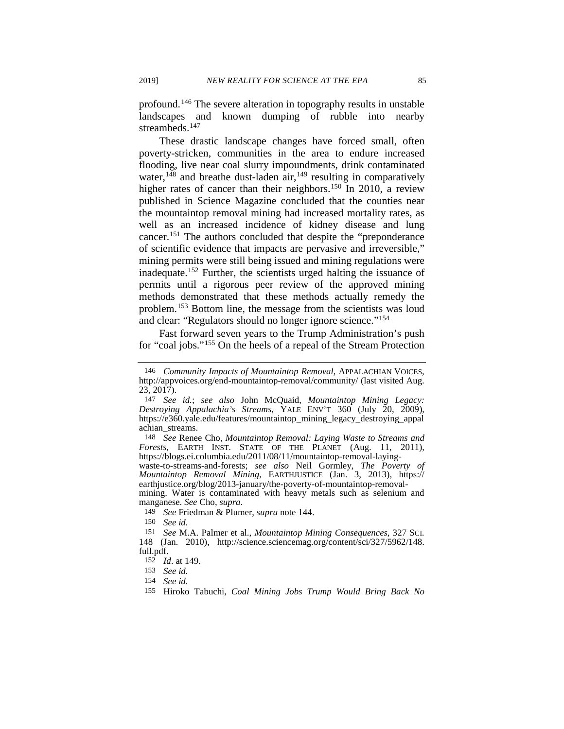profound.[146](#page-28-0) The severe alteration in topography results in unstable landscapes and known dumping of rubble into nearby streambeds.<sup>[147](#page-28-1)</sup>

These drastic landscape changes have forced small, often poverty-stricken, communities in the area to endure increased flooding, live near coal slurry impoundments, drink contaminated water,<sup>[148](#page-28-2)</sup> and breathe dust-laden air,<sup>[149](#page-28-3)</sup> resulting in comparatively higher rates of cancer than their neighbors.<sup>[150](#page-28-4)</sup> In 2010, a review published in Science Magazine concluded that the counties near the mountaintop removal mining had increased mortality rates, as well as an increased incidence of kidney disease and lung cancer.[151](#page-28-5) The authors concluded that despite the "preponderance of scientific evidence that impacts are pervasive and irreversible," mining permits were still being issued and mining regulations were inadequate.[152](#page-28-6) Further, the scientists urged halting the issuance of permits until a rigorous peer review of the approved mining methods demonstrated that these methods actually remedy the problem.[153](#page-28-7) Bottom line, the message from the scientists was loud and clear: "Regulators should no longer ignore science.["154](#page-28-8)

Fast forward seven years to the Trump Administration's push for "coal jobs."[155](#page-28-9) On the heels of a repeal of the Stream Protection

<span id="page-28-2"></span>148 *See* Renee Cho, *Mountaintop Removal: Laying Waste to Streams and Forests*, EARTH INST. STATE OF THE PLANET (Aug. 11, 2011), https://blogs.ei.columbia.edu/2011/08/11/mountaintop-removal-laying-

waste-to-streams-and-forests; see also Neil Gormley, The Poverty of *Mountaintop Removal Mining*, EARTHJUSTICE (Jan. 3, 2013), https://<br>earthjustice.org/blog/2013-january/the-poverty-of-mountaintop-removal-

<span id="page-28-3"></span>mining. Water is contaminated with heavy metals such as selenium and manganese. *See* Cho, *supra*.

149 *See* Friedman & Plumer, *supra* note [144.](#page-27-6)

150 *See id.*

<span id="page-28-0"></span><sup>146</sup> *Community Impacts of Mountaintop Removal*, APPALACHIAN VOICES, http://appvoices.org/end-mountaintop-removal/community/ (last visited Aug. 23, 2017).

<span id="page-28-1"></span><sup>147</sup> *See id.*; *see also* John McQuaid, *Mountaintop Mining Legacy: Destroying Appalachia's Streams*, YALE ENV'T 360 (July 20, 2009), https://e360.yale.edu/features/mountaintop\_mining\_legacy\_destroying\_appal achian\_streams.

<span id="page-28-6"></span><span id="page-28-5"></span><span id="page-28-4"></span><sup>151</sup> *See* M.A. Palmer et al., *Mountaintop Mining Consequences*, 327 SCI. 148 (Jan. 2010), http://science.sciencemag.org/content/sci/327/5962/148. full.pdf.

<sup>152</sup> *Id*. at 149.

<span id="page-28-7"></span><sup>153</sup> *See id.*

<span id="page-28-8"></span><sup>154</sup> *See id.*

<span id="page-28-9"></span><sup>155</sup> Hiroko Tabuchi, *Coal Mining Jobs Trump Would Bring Back No*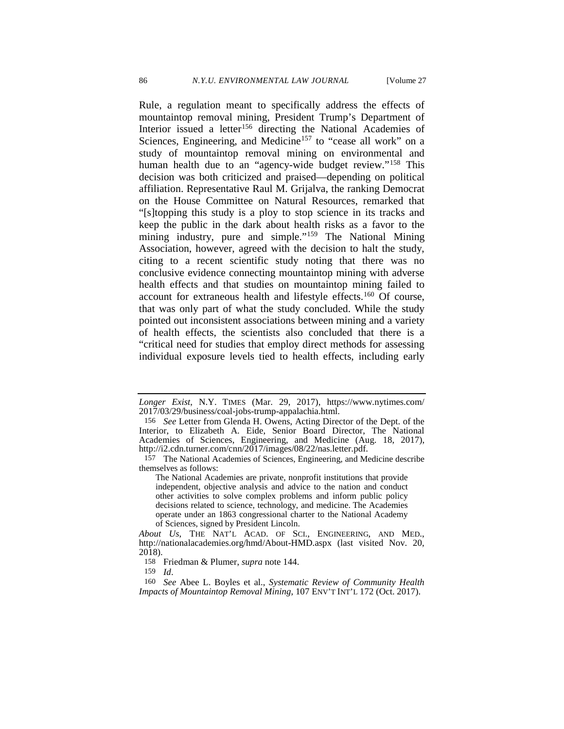Rule, a regulation meant to specifically address the effects of mountaintop removal mining, President Trump's Department of Interior issued a letter<sup>[156](#page-29-0)</sup> directing the National Academies of Sciences, Engineering, and Medicine<sup>[157](#page-29-1)</sup> to "cease all work" on a study of mountaintop removal mining on environmental and human health due to an "agency-wide budget review."<sup>[158](#page-29-2)</sup> This decision was both criticized and praised—depending on political affiliation. Representative Raul M. Grijalva, the ranking Democrat on the House Committee on Natural Resources, remarked that "[s]topping this study is a ploy to stop science in its tracks and keep the public in the dark about health risks as a favor to the mining industry, pure and simple."<sup>159</sup> The National Mining Association, however, agreed with the decision to halt the study, citing to a recent scientific study noting that there was no conclusive evidence connecting mountaintop mining with adverse health effects and that studies on mountaintop mining failed to account for extraneous health and lifestyle effects.[160](#page-29-4) Of course, that was only part of what the study concluded. While the study pointed out inconsistent associations between mining and a variety of health effects, the scientists also concluded that there is a "critical need for studies that employ direct methods for assessing individual exposure levels tied to health effects, including early

*Longer Exist*, N.Y. TIMES (Mar. 29, 2017), https://www.nytimes.com/ 2017/03/29/business/coal-jobs-trump-appalachia.html.

<span id="page-29-0"></span><sup>156</sup> *See* Letter from Glenda H. Owens, Acting Director of the Dept. of the Interior, to Elizabeth A. Eide, Senior Board Director, The National Academies of Sciences, Engineering, and Medicine (Aug. 18, 2017), http://i2.cdn.turner.com/cnn/2017/images/08/22/nas.letter.pdf.

<span id="page-29-1"></span><sup>157</sup> The National Academies of Sciences, Engineering, and Medicine describe themselves as follows:

The National Academies are private, nonprofit institutions that provide independent, objective analysis and advice to the nation and conduct other activities to solve complex problems and inform public policy decisions related to science, technology, and medicine. The Academies operate under an 1863 congressional charter to the National Academy of Sciences, signed by President Lincoln.

*About Us*, THE NAT'L ACAD. OF SCI., ENGINEERING, AND MED., http://nationalacademies.org/hmd/About-HMD.aspx (last visited Nov. 20, 2018).

<sup>158</sup> Friedman & Plumer, *supra* note [144.](#page-27-6)

<sup>159</sup> *Id*.

<span id="page-29-4"></span><span id="page-29-3"></span><span id="page-29-2"></span><sup>160</sup> *See* Abee L. Boyles et al., *Systematic Review of Community Health Impacts of Mountaintop Removal Mining*, 107 ENV'T INT'L 172 (Oct. 2017).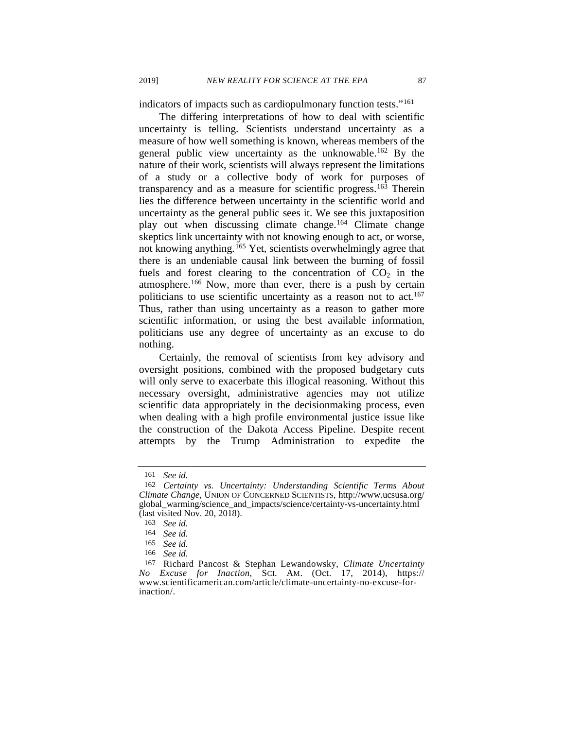indicators of impacts such as cardiopulmonary function tests."[161](#page-30-0)

The differing interpretations of how to deal with scientific uncertainty is telling. Scientists understand uncertainty as a measure of how well something is known, whereas members of the general public view uncertainty as the unknowable[.162](#page-30-1) By the nature of their work, scientists will always represent the limitations of a study or a collective body of work for purposes of transparency and as a measure for scientific progress.[163](#page-30-2) Therein lies the difference between uncertainty in the scientific world and uncertainty as the general public sees it. We see this juxtaposition play out when discussing climate change.<sup>[164](#page-30-3)</sup> Climate change skeptics link uncertainty with not knowing enough to act, or worse, not knowing anything.<sup>[165](#page-30-4)</sup> Yet, scientists overwhelmingly agree that there is an undeniable causal link between the burning of fossil fuels and forest clearing to the concentration of  $CO<sub>2</sub>$  in the atmosphere.<sup>[166](#page-30-5)</sup> Now, more than ever, there is a push by certain politicians to use scientific uncertainty as a reason not to act.<sup>167</sup> Thus, rather than using uncertainty as a reason to gather more scientific information, or using the best available information, politicians use any degree of uncertainty as an excuse to do nothing.

Certainly, the removal of scientists from key advisory and oversight positions, combined with the proposed budgetary cuts will only serve to exacerbate this illogical reasoning. Without this necessary oversight, administrative agencies may not utilize scientific data appropriately in the decisionmaking process, even when dealing with a high profile environmental justice issue like the construction of the Dakota Access Pipeline. Despite recent attempts by the Trump Administration to expedite the

<sup>161</sup> *See id.*

<span id="page-30-1"></span><span id="page-30-0"></span><sup>162</sup> *Certainty vs. Uncertainty: Understanding Scientific Terms About Climate Change*, UNION OF CONCERNED SCIENTISTS, http://www.ucsusa.org/ global\_warming/science\_and\_impacts/science/certainty-vs-uncertainty.html (last visited Nov. 20, 2018).

<span id="page-30-2"></span><sup>163</sup> *See id.*

<sup>164</sup> *See id.*

<sup>165</sup> *See id.*

<sup>166</sup> *See id.*

<span id="page-30-6"></span><span id="page-30-5"></span><span id="page-30-4"></span><span id="page-30-3"></span><sup>167</sup> Richard Pancost & Stephan Lewandowsky, *Climate Uncertainty No Excuse for Inaction*, SCI. AM. (Oct. 17, 2014), https:// www.scientificamerican.com/article/climate-uncertainty-no-excuse-forinaction/.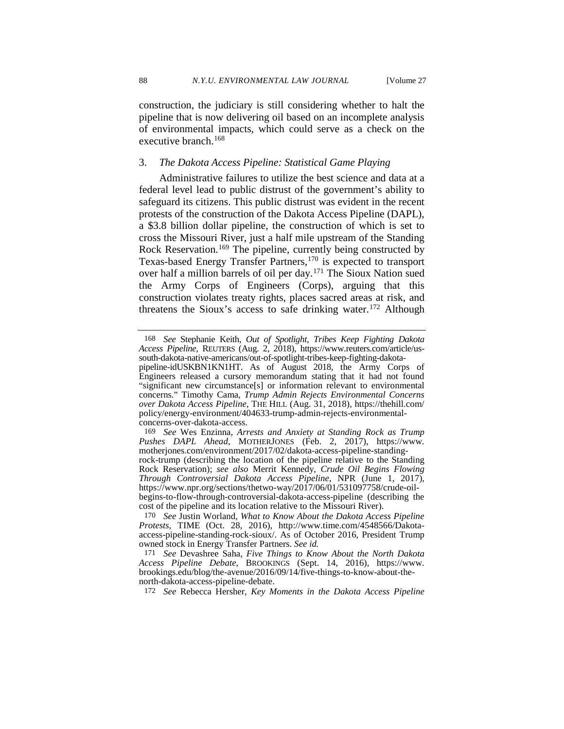construction, the judiciary is still considering whether to halt the pipeline that is now delivering oil based on an incomplete analysis of environmental impacts, which could serve as a check on the executive branch.<sup>[168](#page-31-0)</sup>

# 3. *The Dakota Access Pipeline: Statistical Game Playing*

Administrative failures to utilize the best science and data at a federal level lead to public distrust of the government's ability to safeguard its citizens. This public distrust was evident in the recent protests of the construction of the Dakota Access Pipeline (DAPL), a \$3.8 billion dollar pipeline, the construction of which is set to cross the Missouri River, just a half mile upstream of the Standing Rock Reservation.<sup>169</sup> The pipeline, currently being constructed by Texas-based Energy Transfer Partners,[170](#page-31-2) is expected to transport over half a million barrels of oil per day.[171](#page-31-3) The Sioux Nation sued the Army Corps of Engineers (Corps), arguing that this construction violates treaty rights, places sacred areas at risk, and threatens the Sioux's access to safe drinking water.<sup>[172](#page-31-4)</sup> Although

172 *See* Rebecca Hersher, *Key Moments in the Dakota Access Pipeline*

<span id="page-31-5"></span><span id="page-31-0"></span><sup>168</sup> *See* Stephanie Keith, *Out of Spotlight, Tribes Keep Fighting Dakota Access Pipeline*, REUTERS (Aug. 2, 2018), https://www.reuters.com/article/us- south-dakota-native-americans/out-of-spotlight-tribes-keep-fighting-dakotasouth-dakota-native-americans/out-of-spotlight-tribes-keep-fighting-dakota-<br>pipeline-idUSKBN1KN1HT. As of August 2018, the Army Corps of Engineers released a cursory memorandum stating that it had not found "significant new circumstance[s] or information relevant to environmental concerns." Timothy Cama, *Trump Admin Rejects Environmental Concerns over Dakota Access Pipeline*, THE HILL (Aug. 31, 2018), https://thehill.com/ policy/energy-environment/404633-trump-admin-rejects-environmentalconcerns-over-dakota-access.

<span id="page-31-1"></span><sup>169</sup> *See* Wes Enzinna, *Arrests and Anxiety at Standing Rock as Trump Pushes DAPL Ahead*, MOTHERJONES (Feb. 2, 2017), https://www. motherjones.com/environment/2017/02/dakota-access-pipeline-standing- rock-trump (describing the location of the pipeline relative to the Standing Rock Reservation); *see also* Merrit Kennedy, *Crude Oil Begins Flowing Through Controversial Dakota Access Pipeline*, NPR (June 1, 2017), https://www.npr.org/sections/thetwo-way/2017/06/01/531097758/crude-oilbegins-to-flow-through-controversial-dakota-access-pipeline (describing the cost of the pipeline and its location relative to the Missouri River).

<span id="page-31-2"></span><sup>170</sup> *See* Justin Worland, *What to Know About the Dakota Access Pipeline Protests*, TIME (Oct. 28, 2016), http://www.time.com/4548566/Dakotaaccess-pipeline-standing-rock-sioux/. As of October 2016, President Trump owned stock in Energy Transfer Partners. *See id.*

<span id="page-31-4"></span><span id="page-31-3"></span><sup>171</sup> *See* Devashree Saha, *Five Things to Know About the North Dakota Access Pipeline Debate*, BROOKINGS (Sept. 14, 2016), https://www. brookings.edu/blog/the-avenue/2016/09/14/five-things-to-know-about-thenorth-dakota-access-pipeline-debate.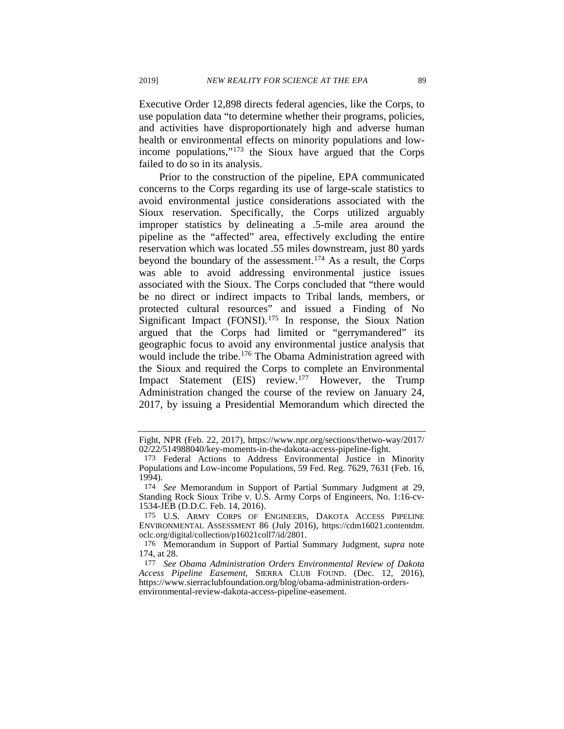Executive Order 12,898 directs federal agencies, like the Corps, to use population data "to determine whether their programs, policies, and activities have disproportionately high and adverse human health or environmental effects on minority populations and lowincome populations,"[173](#page-32-1) the Sioux have argued that the Corps failed to do so in its analysis.

<span id="page-32-0"></span>Prior to the construction of the pipeline, EPA communicated concerns to the Corps regarding its use of large-scale statistics to avoid environmental justice considerations associated with the Sioux reservation. Specifically, the Corps utilized arguably improper statistics by delineating a .5-mile area around the pipeline as the "affected" area, effectively excluding the entire reservation which was located .55 miles downstream, just 80 yards beyond the boundary of the assessment.[174](#page-32-2) As a result, the Corps was able to avoid addressing environmental justice issues associated with the Sioux. The Corps concluded that "there would be no direct or indirect impacts to Tribal lands, members, or protected cultural resources" and issued a Finding of No Significant Impact  $(FONSI)$ .<sup>[175](#page-32-3)</sup> In response, the Sioux Nation argued that the Corps had limited or "gerrymandered" its geographic focus to avoid any environmental justice analysis that would include the tribe.<sup>[176](#page-32-4)</sup> The Obama Administration agreed with the Sioux and required the Corps to complete an Environmental Impact Statement (EIS) review.<sup>[177](#page-32-5)</sup> However, the Trump Administration changed the course of the review on January 24, 2017, by issuing a Presidential Memorandum which directed the

Fight, NPR (Feb. 22, 2017), https://www.npr.org/sections/thetwo-way/2017/ 02/22/514988040/key-moments-in-the-dakota-access-pipeline-fight.

<span id="page-32-1"></span><sup>173</sup> Federal Actions to Address Environmental Justice in Minority Populations and Low-income Populations, 59 Fed. Reg. 7629, 7631 (Feb. 16, 1994).

<span id="page-32-2"></span><sup>174</sup> *See* Memorandum in Support of Partial Summary Judgment at 29, Standing Rock Sioux Tribe v. U.S. Army Corps of Engineers, No. 1:16-cv-1534-JEB (D.D.C. Feb. 14, 2016).

<span id="page-32-3"></span><sup>175</sup> U.S. ARMY CORPS OF ENGINEERS, DAKOTA ACCESS PIPELINE ENVIRONMENTAL ASSESSMENT 86 (July 2016), https://cdm16021.contentdm. oclc.org/digital/collection/p16021coll7/id/2801.

<span id="page-32-4"></span><sup>176</sup> Memorandum in Support of Partial Summary Judgment, *supra* note [174,](#page-32-0) at 28.

<span id="page-32-5"></span><sup>177</sup> *See Obama Administration Orders Environmental Review of Dakota Access Pipeline Easement*, SIERRA CLUB FOUND. (Dec. 12, 2016), https://www.sierraclubfoundation.org/blog/obama-administration-ordersenvironmental-review-dakota-access-pipeline-easement.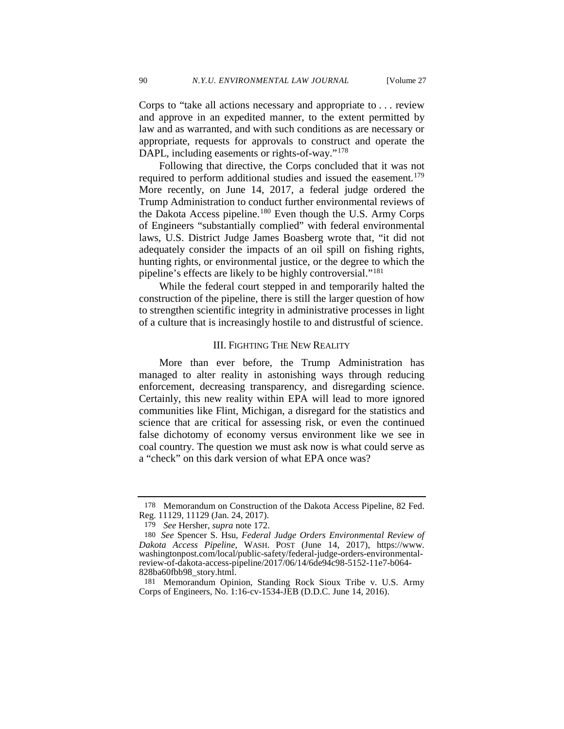Corps to "take all actions necessary and appropriate to . . . review and approve in an expedited manner, to the extent permitted by law and as warranted, and with such conditions as are necessary or appropriate, requests for approvals to construct and operate the DAPL, including easements or rights-of-way."[178](#page-33-0)

Following that directive, the Corps concluded that it was not required to perform additional studies and issued the easement.<sup>[179](#page-33-1)</sup> More recently, on June 14, 2017, a federal judge ordered the Trump Administration to conduct further environmental reviews of the Dakota Access pipeline.[180](#page-33-2) Even though the U.S. Army Corps of Engineers "substantially complied" with federal environmental laws, U.S. District Judge James Boasberg wrote that, "it did not adequately consider the impacts of an oil spill on fishing rights, hunting rights, or environmental justice, or the degree to which the pipeline's effects are likely to be highly controversial."[181](#page-33-3)

While the federal court stepped in and temporarily halted the construction of the pipeline, there is still the larger question of how to strengthen scientific integrity in administrative processes in light of a culture that is increasingly hostile to and distrustful of science.

#### III. FIGHTING THE NEW REALITY

More than ever before, the Trump Administration has managed to alter reality in astonishing ways through reducing enforcement, decreasing transparency, and disregarding science. Certainly, this new reality within EPA will lead to more ignored communities like Flint, Michigan, a disregard for the statistics and science that are critical for assessing risk, or even the continued false dichotomy of economy versus environment like we see in coal country. The question we must ask now is what could serve as a "check" on this dark version of what EPA once was?

<span id="page-33-0"></span><sup>178</sup> Memorandum on Construction of the Dakota Access Pipeline, 82 Fed. Reg. 11129, 11129 (Jan. 24, 2017).

<sup>179</sup> *See* Hersher, *supra* note [172.](#page-31-5)

<span id="page-33-2"></span><span id="page-33-1"></span><sup>180</sup> *See* Spencer S. Hsu, *Federal Judge Orders Environmental Review of Dakota Access Pipeline,* WASH. POST (June 14, 2017), https://www. washingtonpost.com/local/public-safety/federal-judge-orders-environmental- review-of-dakota-access-pipeline/2017/06/14/6de94c98-5152-11e7-b064- 828ba60fbb98\_story.html.

<span id="page-33-3"></span><sup>181</sup> Memorandum Opinion, Standing Rock Sioux Tribe v. U.S. Army Corps of Engineers, No. 1:16-cv-1534-JEB (D.D.C. June 14, 2016).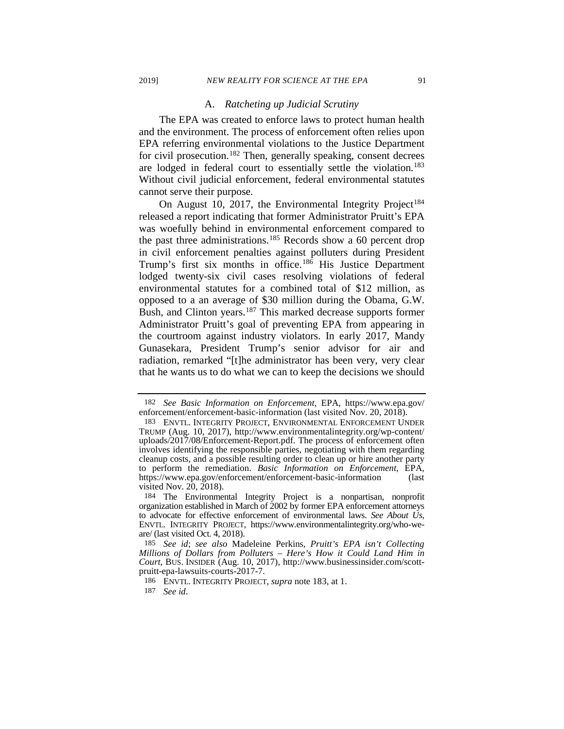#### <span id="page-34-0"></span>A. *Ratcheting up Judicial Scrutiny*

The EPA was created to enforce laws to protect human health and the environment. The process of enforcement often relies upon EPA referring environmental violations to the Justice Department for civil prosecution. [182](#page-34-1) Then, generally speaking, consent decrees are lodged in federal court to essentially settle the violation.<sup>183</sup> Without civil judicial enforcement, federal environmental statutes cannot serve their purpose.

<span id="page-34-7"></span>On August 10, 2017, the Environmental Integrity Project<sup>[184](#page-34-3)</sup> released a report indicating that former Administrator Pruitt's EPA was woefully behind in environmental enforcement compared to the past three administrations.<sup>[185](#page-34-4)</sup> Records show a 60 percent drop in civil enforcement penalties against polluters during President Trump's first six months in office.<sup>[186](#page-34-5)</sup> His Justice Department lodged twenty-six civil cases resolving violations of federal environmental statutes for a combined total of \$12 million, as opposed to a an average of \$30 million during the Obama, G.W. Bush, and Clinton years.<sup>[187](#page-34-6)</sup> This marked decrease supports former Administrator Pruitt's goal of preventing EPA from appearing in the courtroom against industry violators. In early 2017, Mandy Gunasekara, President Trump's senior advisor for air and radiation, remarked "[t]he administrator has been very, very clear that he wants us to do what we can to keep the decisions we should

<span id="page-34-1"></span><sup>182</sup> *See Basic Information on Enforcement*, EPA, https://www.epa.gov/ enforcement/enforcement-basic-information (last visited Nov. 20, 2018).

<span id="page-34-2"></span><sup>183</sup> ENVTL. INTEGRITY PROJECT, ENVIRONMENTAL ENFORCEMENT UNDER TRUMP (Aug. 10, 2017), http://www.environmentalintegrity.org/wp-content/ uploads/2017/08/Enforcement-Report.pdf. The process of enforcement often involves identifying the responsible parties, negotiating with them regarding cleanup costs, and a possible resulting order to clean up or hire another party to perform the remediation. *Basic Information on Enforcement*, EPA, https://www.epa.gov/enforcement/enforcement-basic-information (last visited Nov.  $20$ ,  $2018$ ).

<span id="page-34-3"></span><sup>184</sup> The Environmental Integrity Project is a nonpartisan, nonprofit organization established in March of 2002 by former EPA enforcement attorneys to advocate for effective enforcement of environmental laws. *See About Us*, ENVTL. INTEGRITY PROJECT, https://www.environmentalintegrity.org/who-weare/ (last visited Oct. 4, 2018).

<span id="page-34-5"></span><span id="page-34-4"></span><sup>185</sup> *See id*; *see also* Madeleine Perkins, *Pruitt's EPA isn't Collecting Millions of Dollars from Polluters – Here's How it Could Land Him in Court*, BUS. INSIDER (Aug. 10, 2017), http://www.businessinsider.com/scottpruitt-epa-lawsuits-courts-2017-7.

<sup>186</sup> ENVTL. INTEGRITY PROJECT*, supra* not[e 183,](#page-34-0) at 1.

<span id="page-34-6"></span><sup>187</sup> *See id*.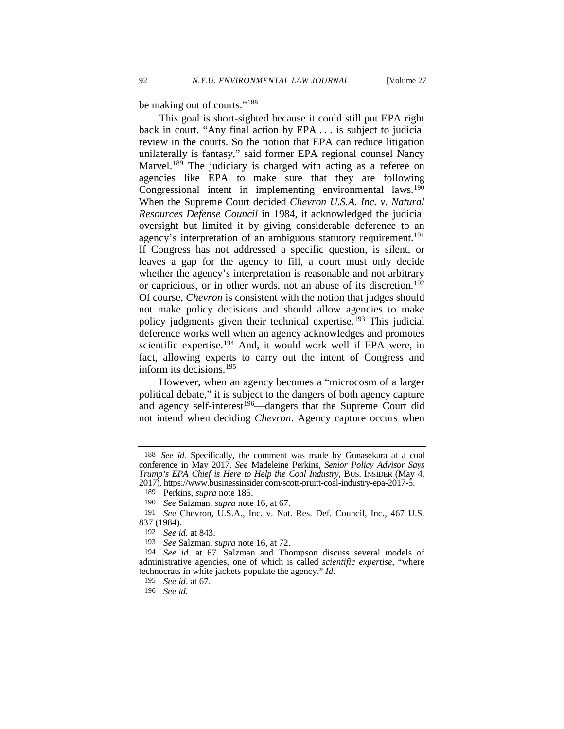<span id="page-35-9"></span>be making out of courts."<sup>[188](#page-35-0)</sup>

This goal is short-sighted because it could still put EPA right back in court. "Any final action by EPA . . . is subject to judicial review in the courts. So the notion that EPA can reduce litigation unilaterally is fantasy," said former EPA regional counsel Nancy Marvel.<sup>[189](#page-35-1)</sup> The judiciary is charged with acting as a referee on agencies like EPA to make sure that they are following Congressional intent in implementing environmental laws.<sup>190</sup> When the Supreme Court decided *Chevron U.S.A. Inc. v. Natural Resources Defense Council* in 1984, it acknowledged the judicial oversight but limited it by giving considerable deference to an agency's interpretation of an ambiguous statutory requirement.<sup>191</sup> If Congress has not addressed a specific question, is silent, or leaves a gap for the agency to fill, a court must only decide whether the agency's interpretation is reasonable and not arbitrary or capricious, or in other words, not an abuse of its discretion[.192](#page-35-4) Of course, *Chevron* is consistent with the notion that judges should not make policy decisions and should allow agencies to make policy judgments given their technical expertise.<sup>[193](#page-35-5)</sup> This judicial deference works well when an agency acknowledges and promotes scientific expertise.<sup>[194](#page-35-6)</sup> And, it would work well if EPA were, in fact, allowing experts to carry out the intent of Congress and inform its decisions.[195](#page-35-7)

However, when an agency becomes a "microcosm of a larger political debate," it is subject to the dangers of both agency capture and agency self-interest<sup>[196](#page-35-8)</sup>—dangers that the Supreme Court did not intend when deciding *Chevron*. Agency capture occurs when

<span id="page-35-0"></span><sup>188</sup> *See id.* Specifically, the comment was made by Gunasekara at a coal conference in May 2017. *See* Madeleine Perkins, *Senior Policy Advisor Says Trump's EPA Chief is Here to Help the Coal Industry*, BUS. INSIDER (May 4, 2017), https://www.businessinsider.com/scott-pruitt-coal-industry-epa-2017-5.

<sup>189</sup> Perkins, *supra* note [185.](#page-34-7)

<sup>190</sup> *See* Salzman, *supra* note [16,](#page-4-7) at 67.

<span id="page-35-3"></span><span id="page-35-2"></span><span id="page-35-1"></span><sup>191</sup> *See* Chevron, U.S.A., Inc. v. Nat. Res. Def. Council, Inc., 467 U.S. 837 (1984).

<sup>192</sup> *See id.* at 843.

<sup>193</sup> *See* Salzman, *supra* note [16,](#page-4-7) at 72.

<span id="page-35-7"></span><span id="page-35-6"></span><span id="page-35-5"></span><span id="page-35-4"></span><sup>194</sup> *See id*. at 67. Salzman and Thompson discuss several models of administrative agencies, one of which is called *scientific expertise*, "where technocrats in white jackets populate the agency." *Id*. 195 *See id*. at 67.

<span id="page-35-8"></span><sup>196</sup> *See id.*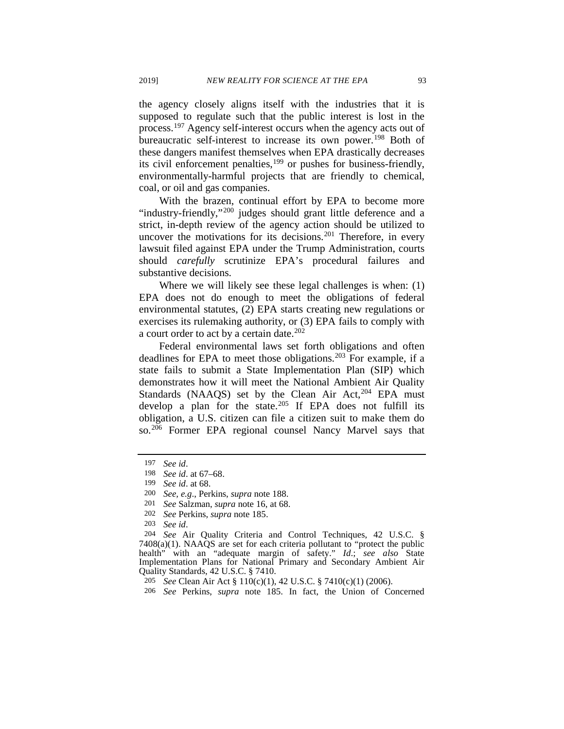the agency closely aligns itself with the industries that it is supposed to regulate such that the public interest is lost in the process.<sup>[197](#page-36-0)</sup> Agency self-interest occurs when the agency acts out of bureaucratic self-interest to increase its own power.<sup>[198](#page-36-1)</sup> Both of these dangers manifest themselves when EPA drastically decreases its civil enforcement penalties,<sup>[199](#page-36-2)</sup> or pushes for business-friendly, environmentally-harmful projects that are friendly to chemical, coal, or oil and gas companies.

With the brazen, continual effort by EPA to become more "industry-friendly,"<sup>[200](#page-36-3)</sup> judges should grant little deference and a strict, in-depth review of the agency action should be utilized to uncover the motivations for its decisions.<sup>[201](#page-36-4)</sup> Therefore, in every lawsuit filed against EPA under the Trump Administration, courts should *carefully* scrutinize EPA's procedural failures and substantive decisions.

Where we will likely see these legal challenges is when: (1) EPA does not do enough to meet the obligations of federal environmental statutes, (2) EPA starts creating new regulations or exercises its rulemaking authority, or (3) EPA fails to comply with a court order to act by a certain date. $202$ 

Federal environmental laws set forth obligations and often deadlines for EPA to meet those obligations.<sup>[203](#page-36-6)</sup> For example, if a state fails to submit a State Implementation Plan (SIP) which demonstrates how it will meet the National Ambient Air Quality Standards (NAAQS) set by the Clean Air Act, $204$  EPA must develop a plan for the state.<sup>[205](#page-36-8)</sup> If EPA does not fulfill its obligation, a U.S. citizen can file a citizen suit to make them do so.[206](#page-36-9) Former EPA regional counsel Nancy Marvel says that

<sup>197</sup> *See id*.

<span id="page-36-1"></span><span id="page-36-0"></span><sup>198</sup> *See id*. at 67–68.

<sup>199</sup> *See id*. at 68.

<span id="page-36-3"></span><span id="page-36-2"></span><sup>200</sup> *See, e.g*., Perkins, *supra* note [188.](#page-35-9)

<sup>201</sup> *See* Salzman, *supra* note [16,](#page-4-7) at 68.

<sup>202</sup> *See* Perkins, *supra* note [185.](#page-34-7)

<sup>203</sup> *See id*.

<span id="page-36-7"></span><span id="page-36-6"></span><span id="page-36-5"></span><span id="page-36-4"></span><sup>204</sup> *See* Air Quality Criteria and Control Techniques, 42 U.S.C. § 7408(a)(1). NAAQS are set for each criteria pollutant to "protect the public health" with an "adequate margin of safety." *Id*.; *see also* State Implementation Plans for National Primary and Secondary Ambient Air Quality Standards, 42 U.S.C. § 7410.

<span id="page-36-8"></span><sup>205</sup> *See* Clean Air Act § 110(c)(1), 42 U.S.C. § 7410(c)(1) (2006).

<span id="page-36-9"></span><sup>206</sup> *See* Perkins, *supra* note [185.](#page-34-7) In fact, the Union of Concerned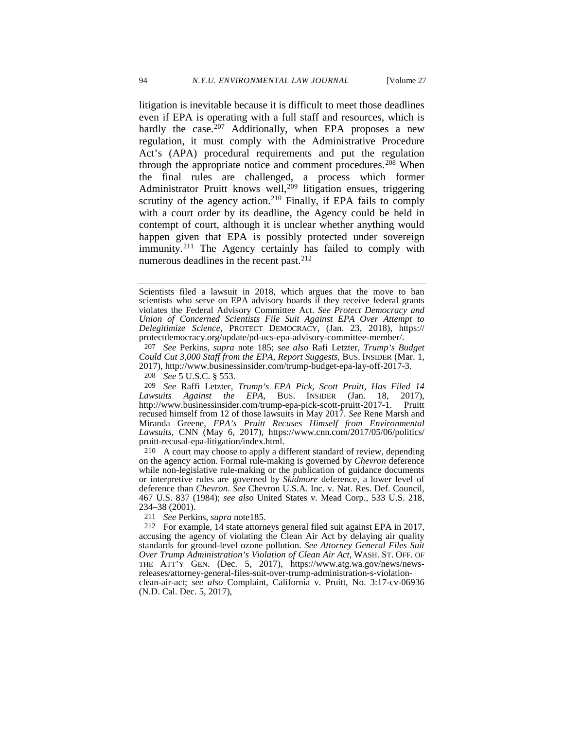litigation is inevitable because it is difficult to meet those deadlines even if EPA is operating with a full staff and resources, which is hardly the case. $207$  Additionally, when EPA proposes a new regulation, it must comply with the Administrative Procedure Act's (APA) procedural requirements and put the regulation through the appropriate notice and comment procedures.<sup>[208](#page-37-1)</sup> When the final rules are challenged, a process which former Administrator Pruitt knows well,<sup>[209](#page-37-2)</sup> litigation ensues, triggering scrutiny of the agency action.<sup>[210](#page-37-3)</sup> Finally, if EPA fails to comply with a court order by its deadline, the Agency could be held in contempt of court, although it is unclear whether anything would happen given that EPA is possibly protected under sovereign immunity.<sup>[211](#page-37-4)</sup> The Agency certainly has failed to comply with numerous deadlines in the recent past.<sup>[212](#page-37-5)</sup>

208 *See* 5 U.S.C. § 553.

<span id="page-37-2"></span><span id="page-37-1"></span>209 *See* Raffi Letzter, *Trump's EPA Pick, Scott Pruitt, Has Filed 14 Lawsuits Against the EPA*, BUS. INSIDER (Jan. 18, 2017), http://www.businessinsider.com/trump-epa-pick-scott-pruitt-2017-1. Pruitt recused himself from 12 of those lawsuits in May 2017. *See* Rene Marsh and Miranda Greene, *EPA's Pruitt Recuses Himself from Environmental Lawsuits*, CNN (May 6, 2017), https://www.cnn.com/2017/05/06/politics/ pruitt-recusal-epa-litigation/index.html.

<span id="page-37-3"></span>210 A court may choose to apply a different standard of review, depending on the agency action. Formal rule-making is governed by *Chevron* deference while non-legislative rule-making or the publication of guidance documents or interpretive rules are governed by *Skidmore* deference, a lower level of deference than *Chevron*. *See* Chevron U.S.A. Inc. v. Nat. Res. Def. Council, 467 U.S. 837 (1984); *see also* United States v. Mead Corp., 533 U.S. 218, 234–38 (2001).

211 *See* Perkins, *supra* not[e185.](#page-34-7)

Scientists filed a lawsuit in 2018, which argues that the move to ban scientists who serve on EPA advisory boards if they receive federal grants violates the Federal Advisory Committee Act. *See Protect Democracy and Union of Concerned Scientists File Suit Against EPA Over Attempt to Delegitimize Science,* PROTECT DEMOCRACY, (Jan. 23, 2018), https:// protectdemocracy.org/update/pd-ucs-epa-advisory-committee-member/.

<span id="page-37-0"></span><sup>207</sup> *See* Perkins, *supra* note [185;](#page-34-7) *see also* Rafi Letzter, *Trump's Budget Could Cut 3,000 Staff from the EPA, Report Suggests*, BUS. INSIDER (Mar. 1, 2017), http://www.businessinsider.com/trump-budget-epa-lay-off-2017-3.

<span id="page-37-5"></span><span id="page-37-4"></span><sup>212</sup> For example, 14 state attorneys general filed suit against EPA in 2017, accusing the agency of violating the Clean Air Act by delaying air quality standards for ground-level ozone pollution. *See Attorney General Files Suit Over Trump Administration's Violation of Clean Air Act*, WASH. ST. OFF. OF THE ATT'Y GEN. (Dec. 5, 2017), https://www.atg.wa.gov/news/newsreleases/attorney-general-files-suit-over-trump-administration-s-violationclean-air-act; *see also* Complaint, California v. Pruitt, No. 3:17-cv-06936 (N.D. Cal. Dec. 5, 2017),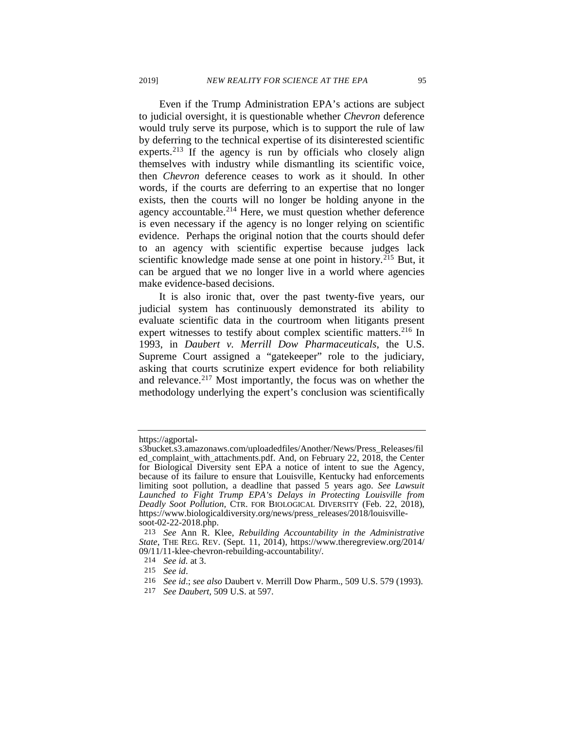<span id="page-38-5"></span>Even if the Trump Administration EPA's actions are subject to judicial oversight, it is questionable whether *Chevron* deference would truly serve its purpose, which is to support the rule of law by deferring to the technical expertise of its disinterested scientific experts.<sup>[213](#page-38-0)</sup> If the agency is run by officials who closely align themselves with industry while dismantling its scientific voice, then *Chevron* deference ceases to work as it should. In other words, if the courts are deferring to an expertise that no longer exists, then the courts will no longer be holding anyone in the agency accountable.<sup>[214](#page-38-1)</sup> Here, we must question whether deference is even necessary if the agency is no longer relying on scientific evidence. Perhaps the original notion that the courts should defer to an agency with scientific expertise because judges lack scientific knowledge made sense at one point in history.<sup>[215](#page-38-2)</sup> But, it can be argued that we no longer live in a world where agencies make evidence-based decisions.

It is also ironic that, over the past twenty-five years, our judicial system has continuously demonstrated its ability to evaluate scientific data in the courtroom when litigants present expert witnesses to testify about complex scientific matters.<sup>[216](#page-38-3)</sup> In 1993, in *Daubert v. Merrill Dow Pharmaceuticals*, the U.S. Supreme Court assigned a "gatekeeper" role to the judiciary, asking that courts scrutinize expert evidence for both reliability and relevance.<sup>[217](#page-38-4)</sup> Most importantly, the focus was on whether the methodology underlying the expert's conclusion was scientifically

https://agportal-

s3bucket.s3.amazonaws.com/uploadedfiles/Another/News/Press\_Releases/fil ed\_complaint\_with\_attachments.pdf. And, on February 22, 2018, the Center for Biological Diversity sent EPA a notice of intent to sue the Agency, because of its failure to ensure that Louisville, Kentucky had enforcements limiting soot pollution, a deadline that passed 5 years ago. *See Lawsuit Launched to Fight Trump EPA's Delays in Protecting Louisville from Deadly Soot Pollution,* CTR. FOR BIOLOGICAL DIVERSITY (Feb. 22, 2018), https://www.biologicaldiversity.org/news/press\_releases/2018/louisvillesoot-02-22-2018.php.

<span id="page-38-1"></span><span id="page-38-0"></span><sup>213</sup> *See* Ann R. Klee, *Rebuilding Accountability in the Administrative State*, THE REG. REV. (Sept. 11, 2014), https://www.theregreview.org/2014/ 09/11/11-klee-chevron-rebuilding-accountability/.

<sup>214</sup> *See id.* at 3.

<span id="page-38-2"></span><sup>215</sup> *See id*.

<span id="page-38-3"></span><sup>216</sup> *See id*.; *see also* Daubert v. Merrill Dow Pharm., 509 U.S. 579 (1993).

<span id="page-38-4"></span><sup>217</sup> *See Daubert,* 509 U.S. at 597.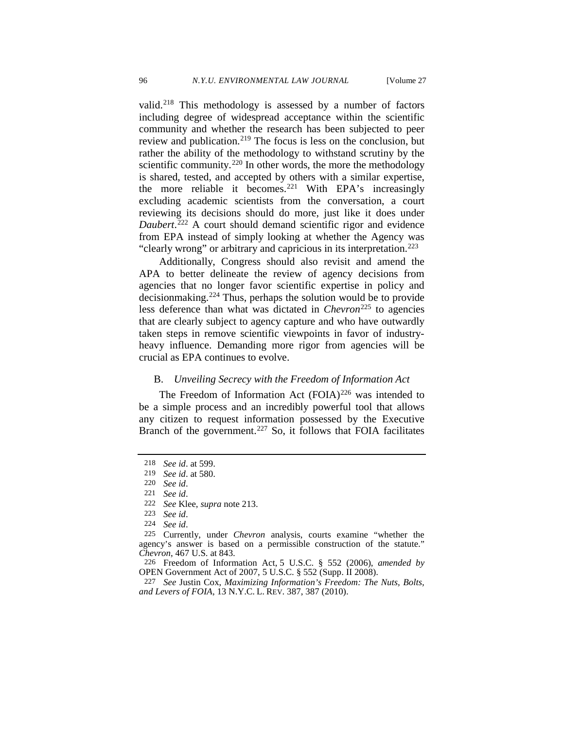valid.<sup>[218](#page-39-0)</sup> This methodology is assessed by a number of factors including degree of widespread acceptance within the scientific community and whether the research has been subjected to peer review and publication.<sup>[219](#page-39-1)</sup> The focus is less on the conclusion, but rather the ability of the methodology to withstand scrutiny by the scientific community.<sup>[220](#page-39-2)</sup> In other words, the more the methodology is shared, tested, and accepted by others with a similar expertise, the more reliable it becomes.<sup>[221](#page-39-3)</sup> With EPA's increasingly excluding academic scientists from the conversation, a court reviewing its decisions should do more, just like it does under *Daubert*. [222](#page-39-4) A court should demand scientific rigor and evidence from EPA instead of simply looking at whether the Agency was "clearly wrong" or arbitrary and capricious in its interpretation.<sup>[223](#page-39-5)</sup>

Additionally, Congress should also revisit and amend the APA to better delineate the review of agency decisions from agencies that no longer favor scientific expertise in policy and decisionmaking.[224](#page-39-6) Thus, perhaps the solution would be to provide less deference than what was dictated in *Chevron*<sup>[225](#page-39-7)</sup> to agencies that are clearly subject to agency capture and who have outwardly taken steps in remove scientific viewpoints in favor of industryheavy influence. Demanding more rigor from agencies will be crucial as EPA continues to evolve.

# <span id="page-39-10"></span>B. *Unveiling Secrecy with the Freedom of Information Act*

The Freedom of Information Act  $(FOIA)^{226}$  $(FOIA)^{226}$  $(FOIA)^{226}$  was intended to be a simple process and an incredibly powerful tool that allows any citizen to request information possessed by the Executive Branch of the government.<sup>[227](#page-39-9)</sup> So, it follows that FOIA facilitates

<span id="page-39-0"></span><sup>218</sup> *See id*. at 599.

<span id="page-39-1"></span><sup>219</sup> *See id*. at 580.

<span id="page-39-2"></span><sup>220</sup> *See id*.

<span id="page-39-3"></span><sup>221</sup> *See id*.

<sup>222</sup> *See* Klee, *supra* note [213.](#page-38-5)

<sup>223</sup> *See id*.

<sup>224</sup> *See id*.

<span id="page-39-7"></span><span id="page-39-6"></span><span id="page-39-5"></span><span id="page-39-4"></span><sup>225</sup> Currently, under *Chevron* analysis, courts examine "whether the agency's answer is based on a permissible construction of the statute." *Chevron*, 467 U.S. at 843.

<span id="page-39-8"></span><sup>226</sup> Freedom of Information Act, 5 U.S.C. § 552 (2006), *amended by* OPEN Government Act of 2007, 5 U.S.C. § 552 (Supp. II 2008).

<span id="page-39-9"></span><sup>227</sup> *See* Justin Cox, *Maximizing Information's Freedom: The Nuts, Bolts, and Levers of FOIA*, 13 N.Y.C. L. REV. 387, 387 (2010).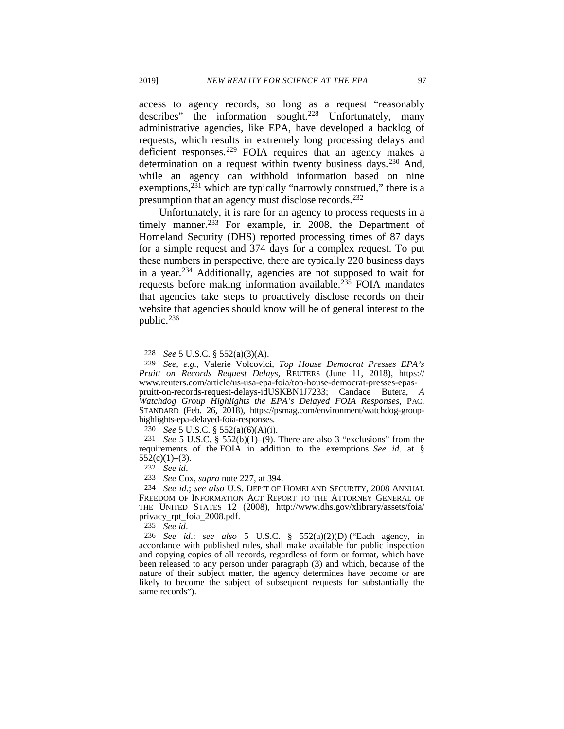access to agency records, so long as a request "reasonably describes" the information sought.<sup>[228](#page-40-0)</sup> Unfortunately, many administrative agencies, like EPA, have developed a backlog of requests, which results in extremely long processing delays and deficient responses.<sup>[229](#page-40-1)</sup> FOIA requires that an agency makes a determination on a request within twenty business days.<sup>[230](#page-40-2)</sup> And, while an agency can withhold information based on nine exemptions,  $231$  which are typically "narrowly construed," there is a presumption that an agency must disclose records.<sup>[232](#page-40-4)</sup>

Unfortunately, it is rare for an agency to process requests in a timely manner.<sup>[233](#page-40-5)</sup> For example, in 2008, the Department of Homeland Security (DHS) reported processing times of 87 days for a simple request and 374 days for a complex request. To put these numbers in perspective, there are typically 220 business days in a year.[234](#page-40-6) Additionally, agencies are not supposed to wait for requests before making information available.<sup> $23\overline{5}$ </sup> FOIA mandates that agencies take steps to proactively disclose records on their website that agencies should know will be of general interest to the public.[236](#page-40-8)

230 *See* 5 U.S.C. § 552(a)(6)(A)(i).

232 *See id*.

233 *See* Cox, *supra* note [227,](#page-39-10) at 394.

235 *See id*.

<span id="page-40-8"></span><span id="page-40-7"></span>236 *See id*.; *see also* [5 U.S.C. § 552\(a\)\(2\)\(D\)](https://1.next.westlaw.com/Link/Document/FullText?findType=L&pubNum=1000546&cite=5USCAS552&originatingDoc=I5f12e188762311e08b05fdf15589d8e8&refType=RB&originationContext=document&transitionType=DocumentItem&contextData=(sc.Search)#co_pp_fe00000056fa7) ("Each agency, in accordance with published rules, shall make available for public inspection and copying copies of all records, regardless of form or format, which have been released to any person under paragraph (3) and which, because of the nature of their subject matter, the agency determines have become or are likely to become the subject of subsequent requests for substantially the same records").

<sup>228</sup> *See* 5 U.S.C. § 552(a)(3)(A).

<span id="page-40-1"></span><span id="page-40-0"></span><sup>229</sup> *See, e.g.*, Valerie Volcovici, *Top House Democrat Presses EPA's Pruitt on Records Request Delays*, REUTERS (June 11, 2018), https:// www.reuters.com/article/us-usa-epa-foia/top-house-democrat-presses-epas-

pruitt-on-records-request-delays-idUSKBN1J7233; Candace Butera, *A Watchdog Group Highlights the EPA's Delayed FOIA Responses*, PAC. STANDARD (Feb. 26, 2018), https://psmag.com/environment/watchdog-group- highlights-epa-delayed-foia-responses.

<span id="page-40-3"></span><span id="page-40-2"></span><sup>231</sup> *See* 5 U.S.C. § 552(b)(1)–(9). There are also 3 "exclusions" from the requirements of the FOIA in addition to the exemptions. *See id*. at §  $552(c)(1)–(3)$ .

<span id="page-40-6"></span><span id="page-40-5"></span><span id="page-40-4"></span><sup>234</sup> *See id*.; *see also* U.S. DEP'T OF HOMELAND SECURITY, 2008 ANNUAL FREEDOM OF INFORMATION ACT REPORT TO THE ATTORNEY GENERAL OF THE UNITED STATES 12 (2008), http://www.dhs.gov/xlibrary/assets/foia/ privacy\_rpt\_foia\_2008.pdf.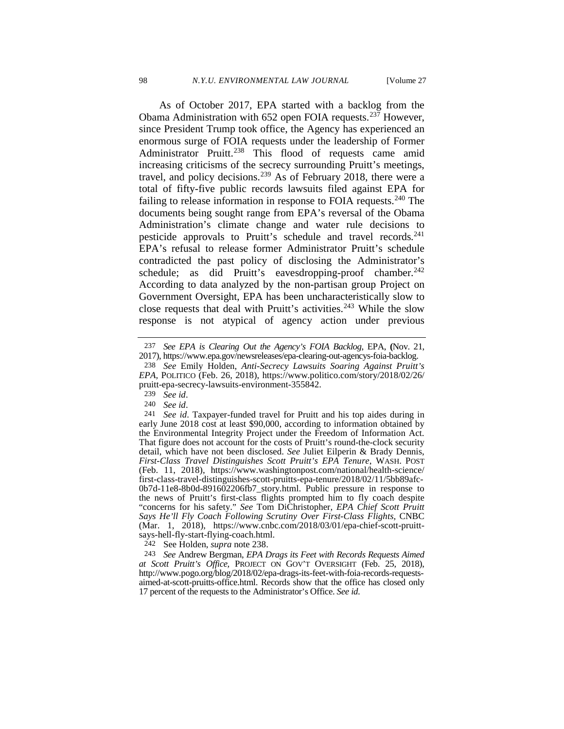<span id="page-41-0"></span>As of October 2017, EPA started with a backlog from the Obama Administration with 652 open FOIA requests.<sup>[237](#page-41-1)</sup> However, since President Trump took office, the Agency has experienced an enormous surge of FOIA requests under the leadership of Former Administrator Pruitt.<sup>[238](#page-41-2)</sup> This flood of requests came amid increasing criticisms of the secrecy surrounding Pruitt's meetings, travel, and policy decisions.[239](#page-41-3) As of February 2018, there were a total of fifty-five public records lawsuits filed against EPA for failing to release information in response to FOIA requests.<sup>[240](#page-41-4)</sup> The documents being sought range from EPA's reversal of the Obama Administration's climate change and water rule decisions to pesticide approvals to Pruitt's schedule and travel records.<sup>241</sup> EPA's refusal to release former Administrator Pruitt's schedule contradicted the past policy of disclosing the Administrator's schedule; as did Pruitt's eavesdropping-proof chamber.<sup>242</sup> According to data analyzed by the non-partisan group Project on Government Oversight, EPA has been uncharacteristically slow to close requests that deal with Pruitt's activities.<sup>[243](#page-41-7)</sup> While the slow response is not atypical of agency action under previous

<span id="page-41-1"></span><sup>237</sup> *See EPA is Clearing Out the Agency's FOIA Backlog*, EPA, **(**Nov. 21, 2017), https://www.epa.gov/newsreleases/epa-clearing-out-agencys-foia-backlog.

<span id="page-41-2"></span><sup>238</sup> *See* Emily Holden, *Anti-Secrecy Lawsuits Soaring Against Pruitt's EPA,* POLITICO (Feb. 26, 2018), https://www.politico.com/story/2018/02/26/ pruitt-epa-secrecy-lawsuits-environment-355842.

<sup>239</sup> *See id*.

<sup>240</sup> *See id*.

<span id="page-41-5"></span><span id="page-41-4"></span><span id="page-41-3"></span><sup>241</sup> *See id*. Taxpayer-funded travel for Pruitt and his top aides during in early June 2018 cost at least \$90,000, according to information obtained by the Environmental Integrity Project under the Freedom of Information Act. That figure does not account for the costs of Pruitt's round-the-clock security detail, which have not been disclosed. *See* Juliet Eilperin & Brady Dennis, *First-Class Travel Distinguishes Scott Pruitt's EPA Tenure*, WASH. POST (Feb. 11, 2018), https://www.washingtonpost.com/national/health-science/ first-class-travel-distinguishes-scott-pruitts-epa-tenure/2018/02/11/5bb89afc-0b7d-11e8-8b0d-891602206fb7\_story.html. Public pressure in response to the news of Pruitt's first-class flights prompted him to fly coach despite "concerns for his safety." *See* Tom DiChristopher, *EPA Chief Scott Pruitt Says He'll Fly Coach Following Scrutiny Over First-Class Flights,* CNBC (Mar. 1, 2018), https://www.cnbc.com/2018/03/01/epa-chief-scott-pruittsays-hell-fly-start-flying-coach.html.

<sup>242</sup> See Holden, *supra* note [238.](#page-41-0)

<span id="page-41-7"></span><span id="page-41-6"></span><sup>243</sup> *See* Andrew Bergman, *EPA Drags its Feet with Records Requests Aimed at Scott Pruitt's Office,* PROJECT ON GOV'T OVERSIGHT (Feb. 25, 2018), http://www.pogo.org/blog/2018/02/epa-drags-its-feet-with-foia-records-requestsaimed-at-scott-pruitts-office.html. Records show that the office has closed only 17 percent of the requests to the Administrator's Office. *See id*.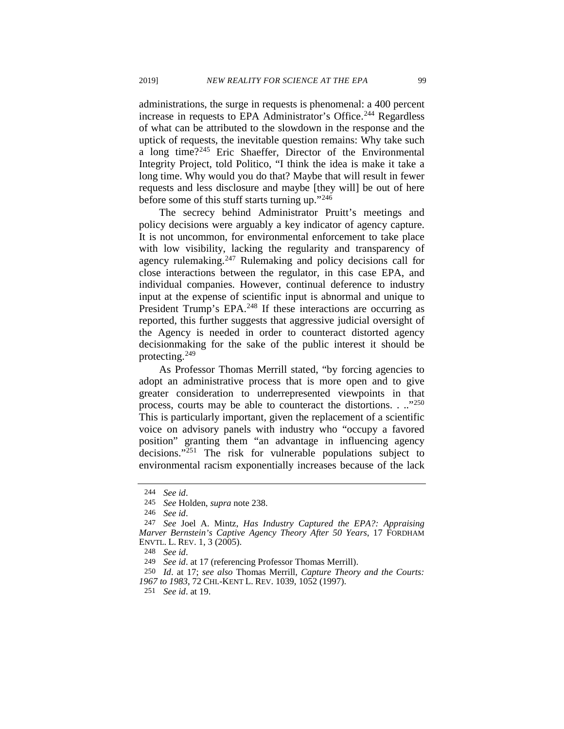administrations, the surge in requests is phenomenal: a 400 percent increase in requests to EPA Administrator's Office.<sup>[244](#page-42-0)</sup> Regardless of what can be attributed to the slowdown in the response and the uptick of requests, the inevitable question remains: Why take such a long time?[245](#page-42-1) Eric Shaeffer, Director of the Environmental Integrity Project, told Politico, "I think the idea is make it take a long time. Why would you do that? Maybe that will result in fewer requests and less disclosure and maybe [they will] be out of here before some of this stuff starts turning up.["246](#page-42-2)

The secrecy behind Administrator Pruitt's meetings and policy decisions were arguably a key indicator of agency capture. It is not uncommon, for environmental enforcement to take place with low visibility, lacking the regularity and transparency of agency rulemaking.<sup>[247](#page-42-3)</sup> Rulemaking and policy decisions call for close interactions between the regulator, in this case EPA, and individual companies. However, continual deference to industry input at the expense of scientific input is abnormal and unique to President Trump's EPA.<sup>[248](#page-42-4)</sup> If these interactions are occurring as reported, this further suggests that aggressive judicial oversight of the Agency is needed in order to counteract distorted agency decisionmaking for the sake of the public interest it should be protecting.[249](#page-42-5)

As Professor Thomas Merrill stated, "by forcing agencies to adopt an administrative process that is more open and to give greater consideration to underrepresented viewpoints in that process, courts may be able to counteract the distortions. . ..["250](#page-42-6) This is particularly important, given the replacement of a scientific voice on advisory panels with industry who "occupy a favored position" granting them "an advantage in influencing agency decisions."<sup>[251](#page-42-7)</sup> The risk for vulnerable populations subject to environmental racism exponentially increases because of the lack

251 *See id*. at 19.

<sup>244</sup> *See id*.

<sup>245</sup> *See* Holden, *supra* note [238.](#page-41-0)

<sup>246</sup> *See id*.

<span id="page-42-3"></span><span id="page-42-2"></span><span id="page-42-1"></span><span id="page-42-0"></span><sup>247</sup> *See* Joel A. Mintz, *Has Industry Captured the EPA?: Appraising Marver Bernstein's Captive Agency Theory After 50 Years*, 17 FORDHAM ENVTL. L. REV. 1, 3 (2005).

<sup>248</sup> *See id*.

<sup>249</sup> *See id*. at 17 (referencing Professor Thomas Merrill).

<span id="page-42-7"></span><span id="page-42-6"></span><span id="page-42-5"></span><span id="page-42-4"></span><sup>250</sup> *Id*. at 17; *see also* Thomas Merrill, *Capture Theory and the Courts: 1967 to 1983*, 72 CHI.-KENT L. REV. 1039, 1052 (1997).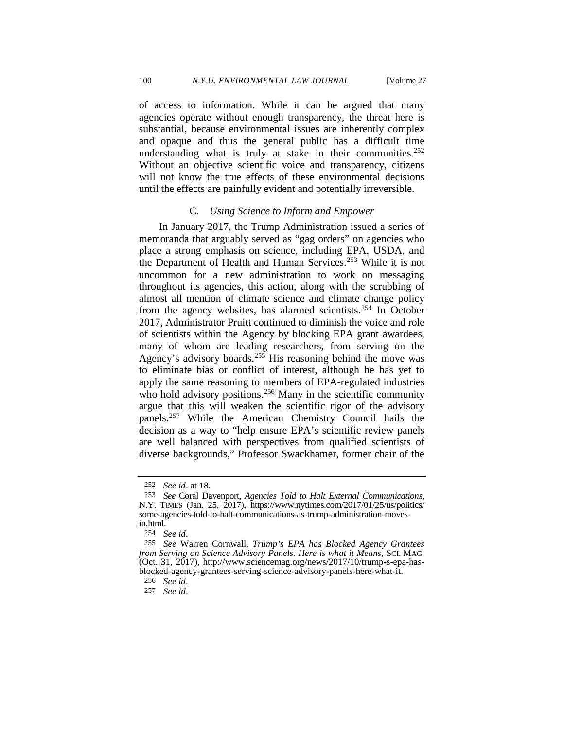of access to information. While it can be argued that many agencies operate without enough transparency, the threat here is substantial, because environmental issues are inherently complex and opaque and thus the general public has a difficult time understanding what is truly at stake in their communities.<sup>252</sup> Without an objective scientific voice and transparency, citizens will not know the true effects of these environmental decisions until the effects are painfully evident and potentially irreversible.

#### C. *Using Science to Inform and Empower*

In January 2017, the Trump Administration issued a series of memoranda that arguably served as "gag orders" on agencies who place a strong emphasis on science, including EPA, USDA, and the Department of Health and Human Services.<sup>[253](#page-43-1)</sup> While it is not uncommon for a new administration to work on messaging throughout its agencies, this action, along with the scrubbing of almost all mention of climate science and climate change policy from the agency websites, has alarmed scientists.<sup>[254](#page-43-2)</sup> In October 2017, Administrator Pruitt continued to diminish the voice and role of scientists within the Agency by blocking EPA grant awardees, many of whom are leading researchers, from serving on the Agency's advisory boards.<sup>[255](#page-43-3)</sup> His reasoning behind the move was to eliminate bias or conflict of interest, although he has yet to apply the same reasoning to members of EPA-regulated industries who hold advisory positions.<sup>[256](#page-43-4)</sup> Many in the scientific community argue that this will weaken the scientific rigor of the advisory panels.[257](#page-43-5) While the American Chemistry Council hails the decision as a way to "help ensure EPA's scientific review panels are well balanced with perspectives from qualified scientists of diverse backgrounds," Professor Swackhamer, former chair of the

<sup>252</sup> *See id*. at 18.

<span id="page-43-1"></span><span id="page-43-0"></span><sup>253</sup> *See* Coral Davenport, *Agencies Told to Halt External Communications*, N.Y. TIMES (Jan. 25, 2017), https://www.nytimes.com/2017/01/25/us/politics/ some-agencies-told-to-halt-communications-as-trump-administration-movesin.html.

<sup>254</sup> *See id*.

<span id="page-43-4"></span><span id="page-43-3"></span><span id="page-43-2"></span><sup>255</sup> *See* Warren Cornwall, *Trump's EPA has Blocked Agency Grantees from Serving on Science Advisory Panels. Here is what it Means*, SCI. MAG. (Oct. 31, 2017), http://www.sciencemag.org/news/2017/10/trump-s-epa-hasblocked-agency-grantees-serving-science-advisory-panels-here-what-it.

<sup>256</sup> *See id*.

<span id="page-43-5"></span><sup>257</sup> *See id*.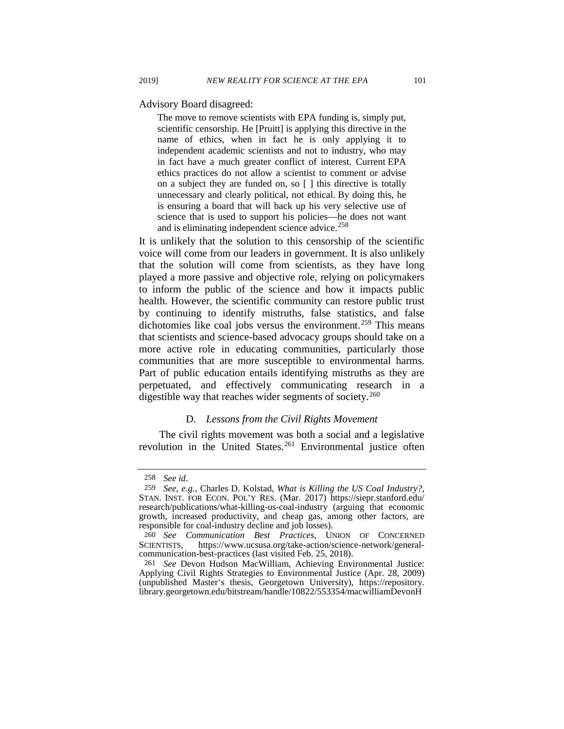Advisory Board disagreed:

The move to remove scientists with EPA funding is, simply put, scientific censorship. He [Pruitt] is applying this directive in the name of ethics, when in fact he is only applying it to independent academic scientists and not to industry, who may in fact have a much greater conflict of interest. Current EPA ethics practices do not allow a scientist to comment or advise on a subject they are funded on, so [ ] this directive is totally unnecessary and clearly political, not ethical. By doing this, he is ensuring a board that will back up his very selective use of science that is used to support his policies—he does not want and is eliminating independent science advice.<sup>[258](#page-44-0)</sup>

It is unlikely that the solution to this censorship of the scientific voice will come from our leaders in government. It is also unlikely that the solution will come from scientists, as they have long played a more passive and objective role, relying on policymakers to inform the public of the science and how it impacts public health. However, the scientific community can restore public trust by continuing to identify mistruths, false statistics, and false dichotomies like coal jobs versus the environment.<sup>[259](#page-44-1)</sup> This means that scientists and science-based advocacy groups should take on a more active role in educating communities, particularly those communities that are more susceptible to environmental harms. Part of public education entails identifying mistruths as they are perpetuated, and effectively communicating research in a digestible way that reaches wider segments of society.<sup>[260](#page-44-2)</sup>

#### D. *Lessons from the Civil Rights Movement*

The civil rights movement was both a social and a legislative revolution in the United States.<sup>[261](#page-44-3)</sup> Environmental justice often

<sup>258</sup> *See id*.

<span id="page-44-1"></span><span id="page-44-0"></span><sup>259</sup> *See, e.g.,* Charles D. Kolstad, *What is Killing the US Coal Industry?*, STAN. INST. FOR ECON. POL'Y RES. (Mar. 2017) https://siepr.stanford.edu/ research/publications/what-killing-us-coal-industry (arguing that economic growth, increased productivity, and cheap gas, among other factors, are responsible for coal-industry decline and job losses).

<span id="page-44-2"></span><sup>260</sup> *See Communication Best Practices*, UNION OF CONCERNED https://www.ucsusa.org/take-action/science-network/generalcommunication-best-practices (last visited Feb. 25, 2018).

<span id="page-44-3"></span><sup>261</sup> *See* Devon Hudson MacWilliam, Achieving Environmental Justice: Applying Civil Rights Strategies to Environmental Justice (Apr. 28, 2009) (unpublished Master's thesis, Georgetown University), https://repository. library.georgetown.edu/bitstream/handle/10822/553354/macwilliamDevonH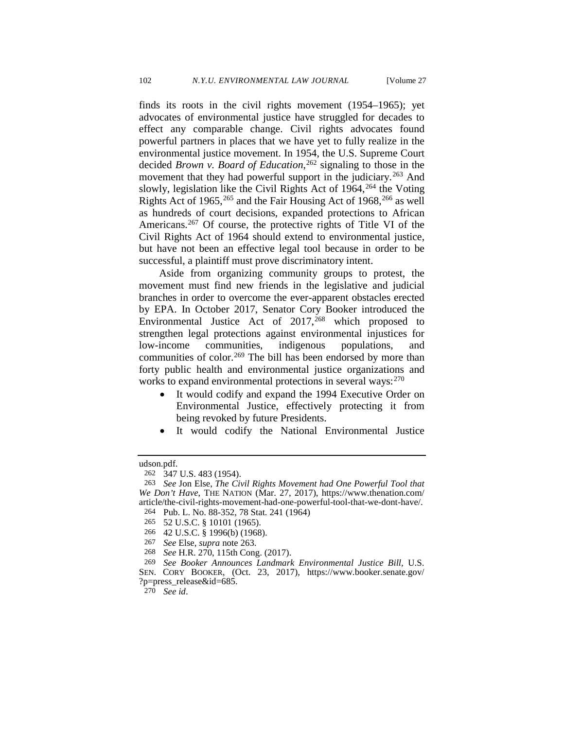<span id="page-45-0"></span>finds its roots in the civil rights movement (1954–1965); yet advocates of environmental justice have struggled for decades to effect any comparable change. Civil rights advocates found powerful partners in places that we have yet to fully realize in the environmental justice movement. In 1954, the U.S. Supreme Court decided *Brown v. Board of Education*, [262](#page-45-1) signaling to those in the movement that they had powerful support in the judiciary.<sup>[263](#page-45-2)</sup> And slowly, legislation like the Civil Rights Act of  $1964$ ,  $264$  the Voting Rights Act of 1965,  $^{265}$  $^{265}$  $^{265}$  and the Fair Housing Act of 1968,  $^{266}$  $^{266}$  $^{266}$  as well as hundreds of court decisions, expanded protections to African Americans.[267](#page-45-6) Of course, the protective rights of Title VI of the Civil Rights Act of 1964 should extend to environmental justice, but have not been an effective legal tool because in order to be successful, a plaintiff must prove discriminatory intent.

Aside from organizing community groups to protest, the movement must find new friends in the legislative and judicial branches in order to overcome the ever-apparent obstacles erected by EPA. In October 2017, Senator Cory Booker introduced the Environmental Justice Act of  $2017,268$  $2017,268$  which proposed to strengthen legal protections against environmental injustices for low-income communities, indigenous populations, and communities of color.<sup>[269](#page-45-8)</sup> The bill has been endorsed by more than forty public health and environmental justice organizations and works to expand environmental protections in several ways:  $270$ 

- <span id="page-45-11"></span><span id="page-45-10"></span>• It would codify and expand the 1994 Executive Order on Environmental Justice, effectively protecting it from being revoked by future Presidents.
- It would codify the National Environmental Justice

<span id="page-45-1"></span>

udson.pdf.<br>
<sup>262</sup> 347 U.S. 483 (1954).

<span id="page-45-3"></span><span id="page-45-2"></span><sup>263</sup> *See* Jon Else, *The Civil Rights Movement had One Powerful Tool that We Don't Have*, THE NATION (Mar. 27, 2017), https://www.thenation.com/ article/the-civil-rights-movement-had-one-powerful-tool-that-we-dont-have/.

<sup>264</sup> Pub. L. No. 88-352, 78 Stat. 241 (1964)

<span id="page-45-4"></span><sup>265</sup> 52 U.S.C. § 10101 (1965).

<sup>266</sup> 42 U.S.C. § 1996(b) (1968).

<sup>267</sup> *See* Else, *supra* note [263.](#page-45-0)

<sup>268</sup> *See* H.R. 270, 115th Cong. (2017).

<span id="page-45-9"></span><span id="page-45-8"></span><span id="page-45-7"></span><span id="page-45-6"></span><span id="page-45-5"></span><sup>269</sup> *See Booker Announces Landmark Environmental Justice Bill,* U.S. SEN. CORY BOOKER, (Oct. 23, 2017), https://www.booker.senate.gov/ ?p=press\_release&id=685.

<sup>270</sup> *See id*.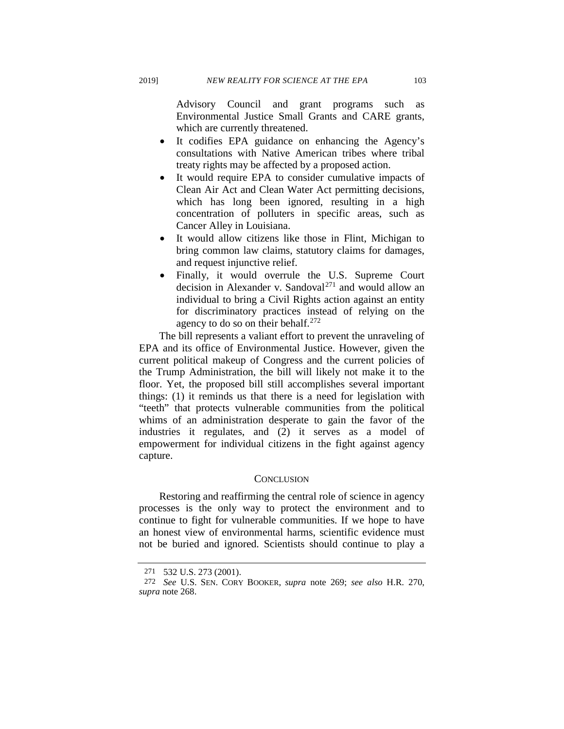Advisory Council and grant programs such as Environmental Justice Small Grants and CARE grants, which are currently threatened.

- It codifies EPA guidance on enhancing the Agency's consultations with Native American tribes where tribal treaty rights may be affected by a proposed action.
- It would require EPA to consider cumulative impacts of Clean Air Act and Clean Water Act permitting decisions, which has long been ignored, resulting in a high concentration of polluters in specific areas, such as Cancer Alley in Louisiana.
- It would allow citizens like those in Flint, Michigan to bring common law claims, statutory claims for damages, and request injunctive relief.
- Finally, it would overrule the U.S. Supreme Court decision in Alexander v. Sandoval<sup>[271](#page-46-0)</sup> and would allow an individual to bring a Civil Rights action against an entity for discriminatory practices instead of relying on the agency to do so on their behalf.<sup>[272](#page-46-1)</sup>

The bill represents a valiant effort to prevent the unraveling of EPA and its office of Environmental Justice. However, given the current political makeup of Congress and the current policies of the Trump Administration, the bill will likely not make it to the floor. Yet, the proposed bill still accomplishes several important things: (1) it reminds us that there is a need for legislation with "teeth" that protects vulnerable communities from the political whims of an administration desperate to gain the favor of the industries it regulates, and (2) it serves as a model of empowerment for individual citizens in the fight against agency capture.

# **CONCLUSION**

Restoring and reaffirming the central role of science in agency processes is the only way to protect the environment and to continue to fight for vulnerable communities. If we hope to have an honest view of environmental harms, scientific evidence must not be buried and ignored. Scientists should continue to play a

<sup>271</sup> 532 U.S. 273 (2001).

<span id="page-46-1"></span><span id="page-46-0"></span><sup>272</sup> *See* U.S. SEN. CORY BOOKER, *supra* note [269;](#page-45-10) *see also* H.R. 270, *supra* note [268.](#page-45-11)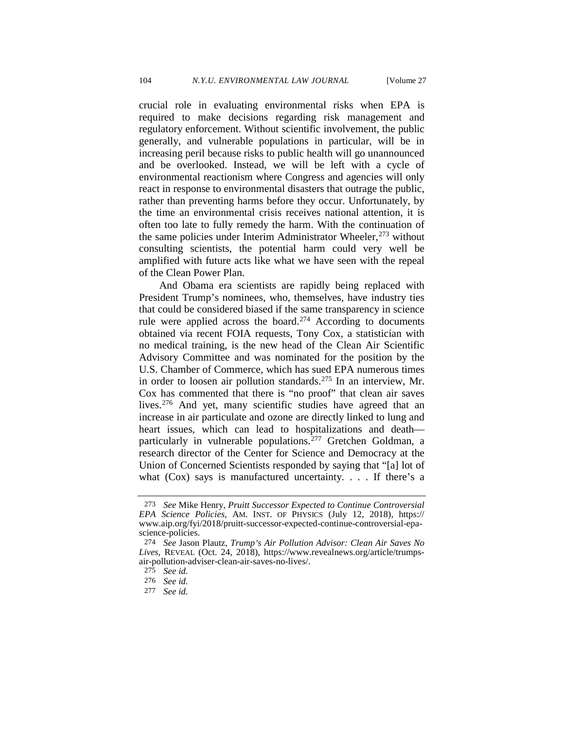crucial role in evaluating environmental risks when EPA is required to make decisions regarding risk management and regulatory enforcement. Without scientific involvement, the public generally, and vulnerable populations in particular, will be in increasing peril because risks to public health will go unannounced and be overlooked. Instead, we will be left with a cycle of environmental reactionism where Congress and agencies will only react in response to environmental disasters that outrage the public, rather than preventing harms before they occur. Unfortunately, by the time an environmental crisis receives national attention, it is often too late to fully remedy the harm. With the continuation of the same policies under Interim Administrator Wheeler, $273$  without consulting scientists, the potential harm could very well be amplified with future acts like what we have seen with the repeal of the Clean Power Plan.

And Obama era scientists are rapidly being replaced with President Trump's nominees, who, themselves, have industry ties that could be considered biased if the same transparency in science rule were applied across the board[.274](#page-47-1) According to documents obtained via recent FOIA requests, Tony Cox, a statistician with no medical training, is the new head of the Clean Air Scientific Advisory Committee and was nominated for the position by the U.S. Chamber of Commerce, which has sued EPA numerous times in order to loosen air pollution standards.<sup>[275](#page-47-2)</sup> In an interview, Mr. Cox has commented that there is "no proof" that clean air saves lives.<sup>[276](#page-47-3)</sup> And yet, many scientific studies have agreed that an increase in air particulate and ozone are directly linked to lung and heart issues, which can lead to hospitalizations and death— particularly in vulnerable populations.<sup>[277](#page-47-4)</sup> Gretchen Goldman, a research director of the Center for Science and Democracy at the Union of Concerned Scientists responded by saying that "[a] lot of what (Cox) says is manufactured uncertainty. . . . If there's a

<span id="page-47-0"></span><sup>273</sup> *See* Mike Henry, *Pruitt Successor Expected to Continue Controversial EPA Science Policies,* AM. INST. OF PHYSICS (July 12, 2018), https:// www.aip.org/fyi/2018/pruitt-successor-expected-continue-controversial-epascience-policies.

<span id="page-47-2"></span><span id="page-47-1"></span><sup>274</sup> *See* Jason Plautz, *Trump's Air Pollution Advisor: Clean Air Saves No Lives*, REVEAL (Oct. 24, 2018), https://www.revealnews.org/article/trumpsair-pollution-adviser-clean-air-saves-no-lives/.

<sup>275</sup> *See id.* 

<span id="page-47-3"></span><sup>276</sup> *See id.*

<span id="page-47-4"></span><sup>277</sup> *See id.*